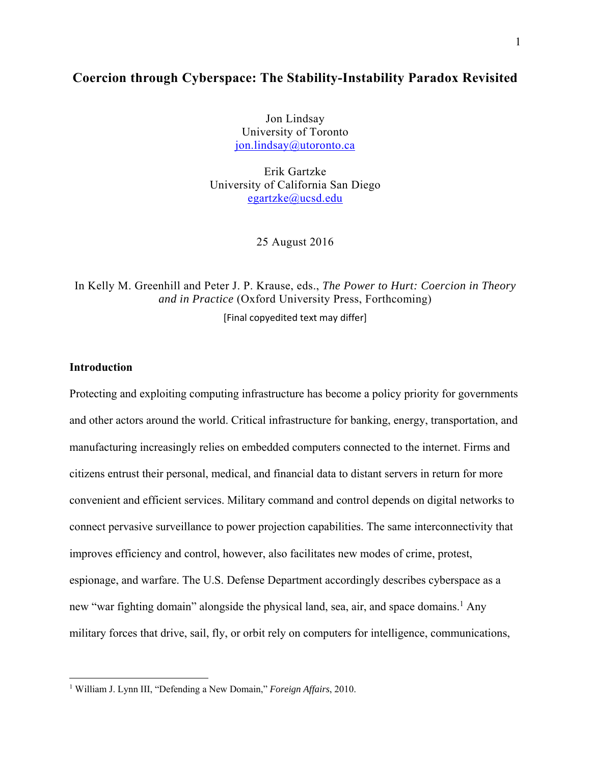# **Coercion through Cyberspace: The Stability-Instability Paradox Revisited**

Jon Lindsay University of Toronto jon.lindsay@utoronto.ca

Erik Gartzke University of California San Diego egartzke@ucsd.edu

25 August 2016

In Kelly M. Greenhill and Peter J. P. Krause, eds., *The Power to Hurt: Coercion in Theory and in Practice* (Oxford University Press, Forthcoming)

[Final copyedited text may differ]

## **Introduction**

Protecting and exploiting computing infrastructure has become a policy priority for governments and other actors around the world. Critical infrastructure for banking, energy, transportation, and manufacturing increasingly relies on embedded computers connected to the internet. Firms and citizens entrust their personal, medical, and financial data to distant servers in return for more convenient and efficient services. Military command and control depends on digital networks to connect pervasive surveillance to power projection capabilities. The same interconnectivity that improves efficiency and control, however, also facilitates new modes of crime, protest, espionage, and warfare. The U.S. Defense Department accordingly describes cyberspace as a new "war fighting domain" alongside the physical land, sea, air, and space domains.<sup>1</sup> Any military forces that drive, sail, fly, or orbit rely on computers for intelligence, communications,

<sup>1</sup> William J. Lynn III, "Defending a New Domain," *Foreign Affairs*, 2010.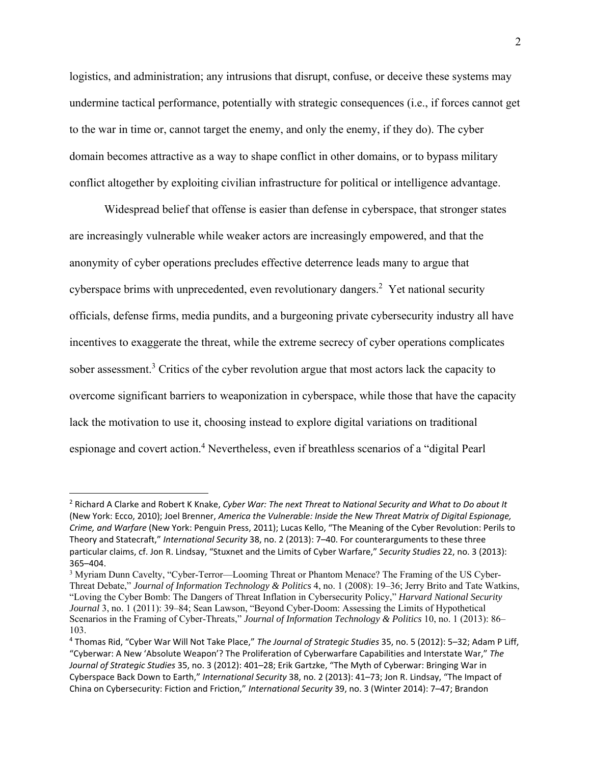logistics, and administration; any intrusions that disrupt, confuse, or deceive these systems may undermine tactical performance, potentially with strategic consequences (i.e., if forces cannot get to the war in time or, cannot target the enemy, and only the enemy, if they do). The cyber domain becomes attractive as a way to shape conflict in other domains, or to bypass military conflict altogether by exploiting civilian infrastructure for political or intelligence advantage.

Widespread belief that offense is easier than defense in cyberspace, that stronger states are increasingly vulnerable while weaker actors are increasingly empowered, and that the anonymity of cyber operations precludes effective deterrence leads many to argue that cyberspace brims with unprecedented, even revolutionary dangers.<sup>2</sup> Yet national security officials, defense firms, media pundits, and a burgeoning private cybersecurity industry all have incentives to exaggerate the threat, while the extreme secrecy of cyber operations complicates sober assessment.<sup>3</sup> Critics of the cyber revolution argue that most actors lack the capacity to overcome significant barriers to weaponization in cyberspace, while those that have the capacity lack the motivation to use it, choosing instead to explore digital variations on traditional espionage and covert action.<sup>4</sup> Nevertheless, even if breathless scenarios of a "digital Pearl

<sup>2</sup> Richard A Clarke and Robert K Knake, *Cyber War: The next Threat to National Security and What to Do about It* (New York: Ecco, 2010); Joel Brenner, *America the Vulnerable: Inside the New Threat Matrix of Digital Espionage, Crime, and Warfare* (New York: Penguin Press, 2011); Lucas Kello, "The Meaning of the Cyber Revolution: Perils to Theory and Statecraft," *International Security* 38, no. 2 (2013): 7–40. For counterarguments to these three particular claims, cf. Jon R. Lindsay, "Stuxnet and the Limits of Cyber Warfare," *Security Studies* 22, no. 3 (2013): 365–404.

<sup>&</sup>lt;sup>3</sup> Myriam Dunn Cavelty, "Cyber-Terror—Looming Threat or Phantom Menace? The Framing of the US Cyber-Threat Debate," *Journal of Information Technology & Politics* 4, no. 1 (2008): 19–36; Jerry Brito and Tate Watkins, "Loving the Cyber Bomb: The Dangers of Threat Inflation in Cybersecurity Policy," *Harvard National Security Journal* 3, no. 1 (2011): 39–84; Sean Lawson, "Beyond Cyber-Doom: Assessing the Limits of Hypothetical Scenarios in the Framing of Cyber-Threats," *Journal of Information Technology & Politics* 10, no. 1 (2013): 86– 103.

<sup>4</sup> Thomas Rid, "Cyber War Will Not Take Place," *The Journal of Strategic Studies* 35, no. 5 (2012): 5–32; Adam P Liff, "Cyberwar: A New 'Absolute Weapon'? The Proliferation of Cyberwarfare Capabilities and Interstate War," *The Journal of Strategic Studies* 35, no. 3 (2012): 401–28; Erik Gartzke, "The Myth of Cyberwar: Bringing War in Cyberspace Back Down to Earth," *International Security* 38, no. 2 (2013): 41–73; Jon R. Lindsay, "The Impact of China on Cybersecurity: Fiction and Friction," *International Security* 39, no. 3 (Winter 2014): 7–47; Brandon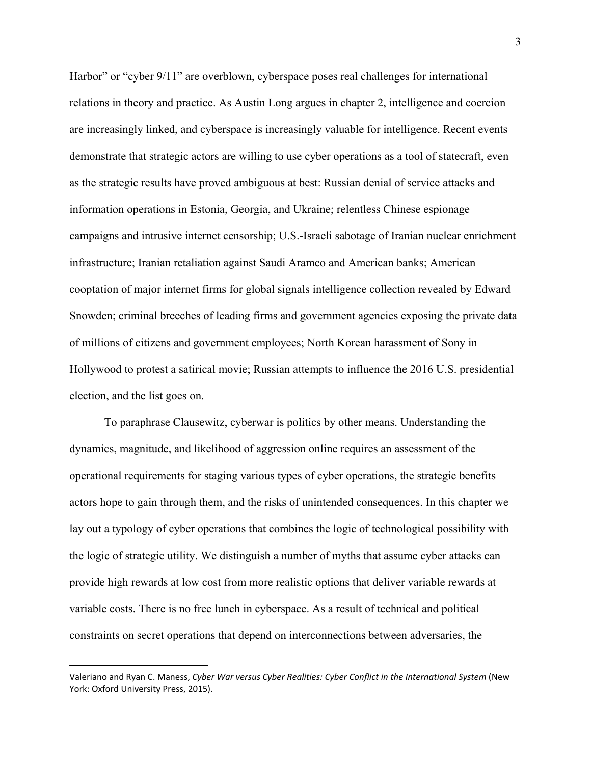Harbor" or "cyber 9/11" are overblown, cyberspace poses real challenges for international relations in theory and practice. As Austin Long argues in chapter 2, intelligence and coercion are increasingly linked, and cyberspace is increasingly valuable for intelligence. Recent events demonstrate that strategic actors are willing to use cyber operations as a tool of statecraft, even as the strategic results have proved ambiguous at best: Russian denial of service attacks and information operations in Estonia, Georgia, and Ukraine; relentless Chinese espionage campaigns and intrusive internet censorship; U.S.-Israeli sabotage of Iranian nuclear enrichment infrastructure; Iranian retaliation against Saudi Aramco and American banks; American cooptation of major internet firms for global signals intelligence collection revealed by Edward Snowden; criminal breeches of leading firms and government agencies exposing the private data of millions of citizens and government employees; North Korean harassment of Sony in Hollywood to protest a satirical movie; Russian attempts to influence the 2016 U.S. presidential election, and the list goes on.

To paraphrase Clausewitz, cyberwar is politics by other means. Understanding the dynamics, magnitude, and likelihood of aggression online requires an assessment of the operational requirements for staging various types of cyber operations, the strategic benefits actors hope to gain through them, and the risks of unintended consequences. In this chapter we lay out a typology of cyber operations that combines the logic of technological possibility with the logic of strategic utility. We distinguish a number of myths that assume cyber attacks can provide high rewards at low cost from more realistic options that deliver variable rewards at variable costs. There is no free lunch in cyberspace. As a result of technical and political constraints on secret operations that depend on interconnections between adversaries, the

Valeriano and Ryan C. Maness, *Cyber War versus Cyber Realities: Cyber Conflict in the International System* (New York: Oxford University Press, 2015).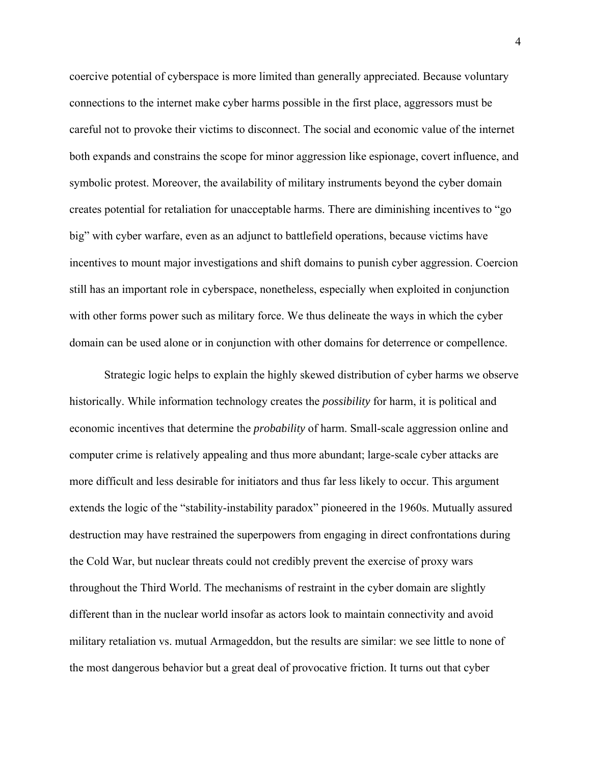coercive potential of cyberspace is more limited than generally appreciated. Because voluntary connections to the internet make cyber harms possible in the first place, aggressors must be careful not to provoke their victims to disconnect. The social and economic value of the internet both expands and constrains the scope for minor aggression like espionage, covert influence, and symbolic protest. Moreover, the availability of military instruments beyond the cyber domain creates potential for retaliation for unacceptable harms. There are diminishing incentives to "go big" with cyber warfare, even as an adjunct to battlefield operations, because victims have incentives to mount major investigations and shift domains to punish cyber aggression. Coercion still has an important role in cyberspace, nonetheless, especially when exploited in conjunction with other forms power such as military force. We thus delineate the ways in which the cyber domain can be used alone or in conjunction with other domains for deterrence or compellence.

Strategic logic helps to explain the highly skewed distribution of cyber harms we observe historically. While information technology creates the *possibility* for harm, it is political and economic incentives that determine the *probability* of harm. Small-scale aggression online and computer crime is relatively appealing and thus more abundant; large-scale cyber attacks are more difficult and less desirable for initiators and thus far less likely to occur. This argument extends the logic of the "stability-instability paradox" pioneered in the 1960s. Mutually assured destruction may have restrained the superpowers from engaging in direct confrontations during the Cold War, but nuclear threats could not credibly prevent the exercise of proxy wars throughout the Third World. The mechanisms of restraint in the cyber domain are slightly different than in the nuclear world insofar as actors look to maintain connectivity and avoid military retaliation vs. mutual Armageddon, but the results are similar: we see little to none of the most dangerous behavior but a great deal of provocative friction. It turns out that cyber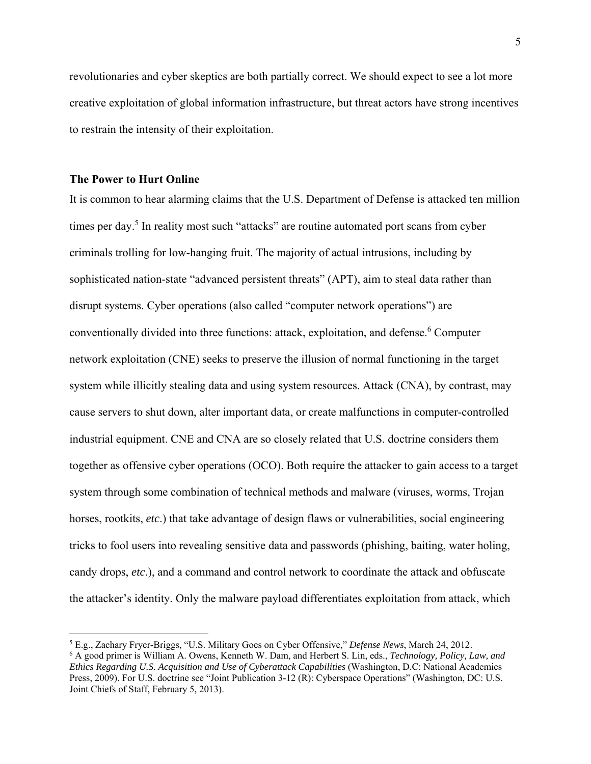revolutionaries and cyber skeptics are both partially correct. We should expect to see a lot more creative exploitation of global information infrastructure, but threat actors have strong incentives to restrain the intensity of their exploitation.

#### **The Power to Hurt Online**

It is common to hear alarming claims that the U.S. Department of Defense is attacked ten million times per day.<sup>5</sup> In reality most such "attacks" are routine automated port scans from cyber criminals trolling for low-hanging fruit. The majority of actual intrusions, including by sophisticated nation-state "advanced persistent threats" (APT), aim to steal data rather than disrupt systems. Cyber operations (also called "computer network operations") are conventionally divided into three functions: attack, exploitation, and defense.<sup>6</sup> Computer network exploitation (CNE) seeks to preserve the illusion of normal functioning in the target system while illicitly stealing data and using system resources. Attack (CNA), by contrast, may cause servers to shut down, alter important data, or create malfunctions in computer-controlled industrial equipment. CNE and CNA are so closely related that U.S. doctrine considers them together as offensive cyber operations (OCO). Both require the attacker to gain access to a target system through some combination of technical methods and malware (viruses, worms, Trojan horses, rootkits, *etc*.) that take advantage of design flaws or vulnerabilities, social engineering tricks to fool users into revealing sensitive data and passwords (phishing, baiting, water holing, candy drops, *etc*.), and a command and control network to coordinate the attack and obfuscate the attacker's identity. Only the malware payload differentiates exploitation from attack, which

<sup>5</sup> E.g., Zachary Fryer-Briggs, "U.S. Military Goes on Cyber Offensive," *Defense News*, March 24, 2012.

<sup>6</sup> A good primer is William A. Owens, Kenneth W. Dam, and Herbert S. Lin, eds., *Technology, Policy, Law, and Ethics Regarding U.S. Acquisition and Use of Cyberattack Capabilities* (Washington, D.C: National Academies Press, 2009). For U.S. doctrine see "Joint Publication 3-12 (R): Cyberspace Operations" (Washington, DC: U.S. Joint Chiefs of Staff, February 5, 2013).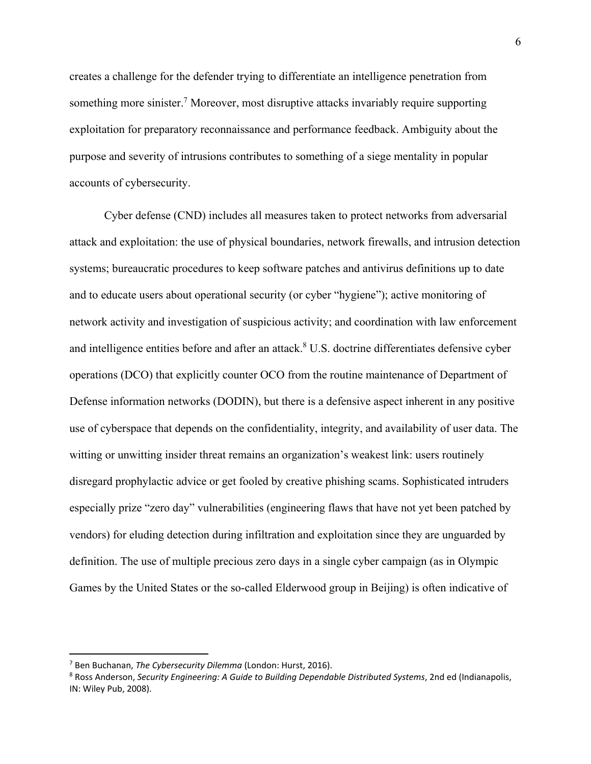creates a challenge for the defender trying to differentiate an intelligence penetration from something more sinister.<sup>7</sup> Moreover, most disruptive attacks invariably require supporting exploitation for preparatory reconnaissance and performance feedback. Ambiguity about the purpose and severity of intrusions contributes to something of a siege mentality in popular accounts of cybersecurity.

Cyber defense (CND) includes all measures taken to protect networks from adversarial attack and exploitation: the use of physical boundaries, network firewalls, and intrusion detection systems; bureaucratic procedures to keep software patches and antivirus definitions up to date and to educate users about operational security (or cyber "hygiene"); active monitoring of network activity and investigation of suspicious activity; and coordination with law enforcement and intelligence entities before and after an attack.<sup>8</sup> U.S. doctrine differentiates defensive cyber operations (DCO) that explicitly counter OCO from the routine maintenance of Department of Defense information networks (DODIN), but there is a defensive aspect inherent in any positive use of cyberspace that depends on the confidentiality, integrity, and availability of user data. The witting or unwitting insider threat remains an organization's weakest link: users routinely disregard prophylactic advice or get fooled by creative phishing scams. Sophisticated intruders especially prize "zero day" vulnerabilities (engineering flaws that have not yet been patched by vendors) for eluding detection during infiltration and exploitation since they are unguarded by definition. The use of multiple precious zero days in a single cyber campaign (as in Olympic Games by the United States or the so-called Elderwood group in Beijing) is often indicative of

<sup>7</sup> Ben Buchanan, *The Cybersecurity Dilemma* (London: Hurst, 2016).

<sup>8</sup> Ross Anderson, *Security Engineering: A Guide to Building Dependable Distributed Systems*, 2nd ed (Indianapolis, IN: Wiley Pub, 2008).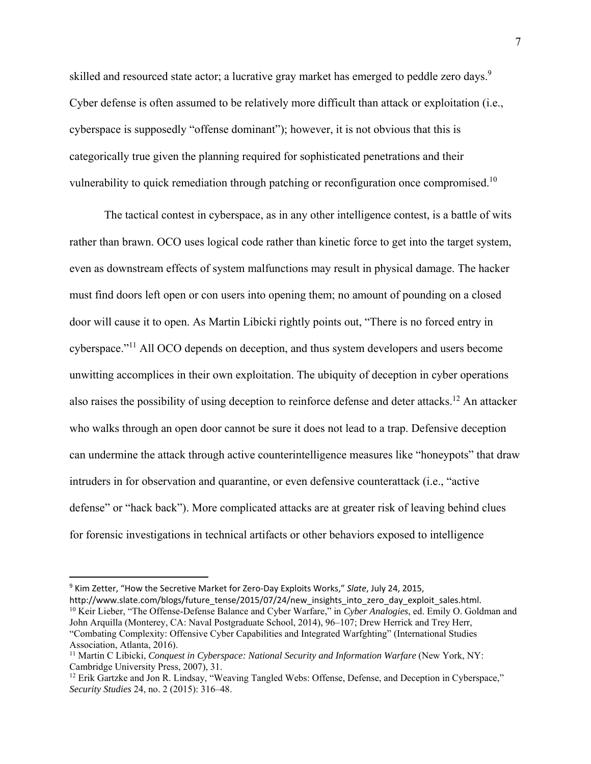skilled and resourced state actor; a lucrative gray market has emerged to peddle zero days.<sup>9</sup> Cyber defense is often assumed to be relatively more difficult than attack or exploitation (i.e., cyberspace is supposedly "offense dominant"); however, it is not obvious that this is categorically true given the planning required for sophisticated penetrations and their vulnerability to quick remediation through patching or reconfiguration once compromised.<sup>10</sup>

The tactical contest in cyberspace, as in any other intelligence contest, is a battle of wits rather than brawn. OCO uses logical code rather than kinetic force to get into the target system, even as downstream effects of system malfunctions may result in physical damage. The hacker must find doors left open or con users into opening them; no amount of pounding on a closed door will cause it to open. As Martin Libicki rightly points out, "There is no forced entry in cyberspace."11 All OCO depends on deception, and thus system developers and users become unwitting accomplices in their own exploitation. The ubiquity of deception in cyber operations also raises the possibility of using deception to reinforce defense and deter attacks.<sup>12</sup> An attacker who walks through an open door cannot be sure it does not lead to a trap. Defensive deception can undermine the attack through active counterintelligence measures like "honeypots" that draw intruders in for observation and quarantine, or even defensive counterattack (i.e., "active defense" or "hack back"). More complicated attacks are at greater risk of leaving behind clues for forensic investigations in technical artifacts or other behaviors exposed to intelligence

http://www.slate.com/blogs/future\_tense/2015/07/24/new\_insights\_into\_zero\_day\_exploit\_sales.html. 10 Keir Lieber, "The Offense-Defense Balance and Cyber Warfare," in *Cyber Analogies*, ed. Emily O. Goldman and John Arquilla (Monterey, CA: Naval Postgraduate School, 2014), 96–107; Drew Herrick and Trey Herr, "Combating Complexity: Offensive Cyber Capabilities and Integrated Warfghting" (International Studies Association, Atlanta, 2016).

<sup>9</sup> Kim Zetter, "How the Secretive Market for Zero‐Day Exploits Works," *Slate*, July 24, 2015,

<sup>&</sup>lt;sup>11</sup> Martin C Libicki, *Conquest in Cyberspace: National Security and Information Warfare* (New York, NY: Cambridge University Press, 2007), 31.

<sup>&</sup>lt;sup>12</sup> Erik Gartzke and Jon R. Lindsay, "Weaving Tangled Webs: Offense, Defense, and Deception in Cyberspace," *Security Studies* 24, no. 2 (2015): 316–48.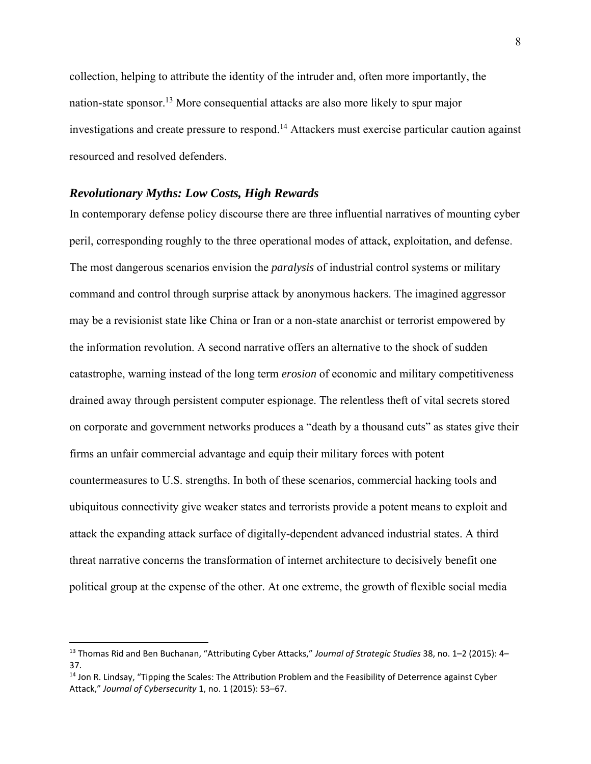collection, helping to attribute the identity of the intruder and, often more importantly, the nation-state sponsor.<sup>13</sup> More consequential attacks are also more likely to spur major investigations and create pressure to respond.<sup>14</sup> Attackers must exercise particular caution against resourced and resolved defenders.

## *Revolutionary Myths: Low Costs, High Rewards*

In contemporary defense policy discourse there are three influential narratives of mounting cyber peril, corresponding roughly to the three operational modes of attack, exploitation, and defense. The most dangerous scenarios envision the *paralysis* of industrial control systems or military command and control through surprise attack by anonymous hackers. The imagined aggressor may be a revisionist state like China or Iran or a non-state anarchist or terrorist empowered by the information revolution. A second narrative offers an alternative to the shock of sudden catastrophe, warning instead of the long term *erosion* of economic and military competitiveness drained away through persistent computer espionage. The relentless theft of vital secrets stored on corporate and government networks produces a "death by a thousand cuts" as states give their firms an unfair commercial advantage and equip their military forces with potent countermeasures to U.S. strengths. In both of these scenarios, commercial hacking tools and ubiquitous connectivity give weaker states and terrorists provide a potent means to exploit and attack the expanding attack surface of digitally-dependent advanced industrial states. A third threat narrative concerns the transformation of internet architecture to decisively benefit one political group at the expense of the other. At one extreme, the growth of flexible social media

<sup>13</sup> Thomas Rid and Ben Buchanan, "Attributing Cyber Attacks," *Journal of Strategic Studies* 38, no. 1–2 (2015): 4– 37.

<sup>&</sup>lt;sup>14</sup> Jon R. Lindsay, "Tipping the Scales: The Attribution Problem and the Feasibility of Deterrence against Cyber Attack," *Journal of Cybersecurity* 1, no. 1 (2015): 53–67.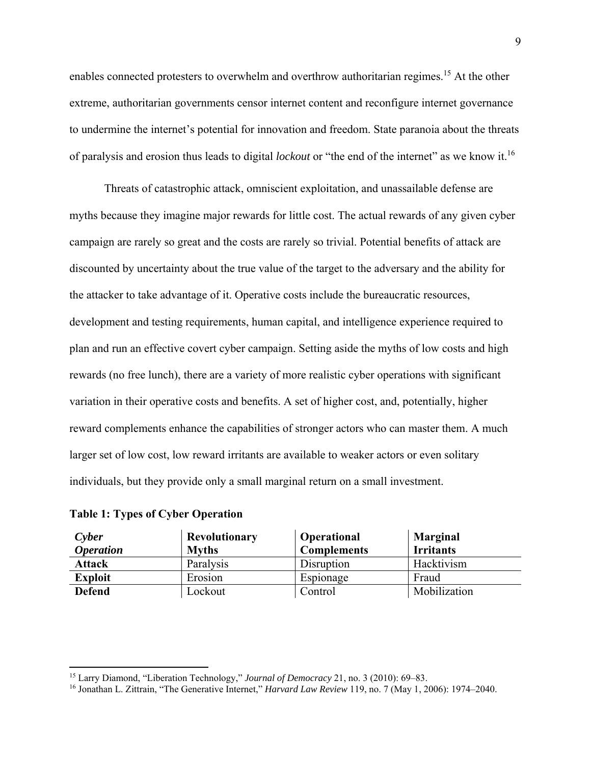enables connected protesters to overwhelm and overthrow authoritarian regimes.<sup>15</sup> At the other extreme, authoritarian governments censor internet content and reconfigure internet governance to undermine the internet's potential for innovation and freedom. State paranoia about the threats of paralysis and erosion thus leads to digital *lockout* or "the end of the internet" as we know it.16

Threats of catastrophic attack, omniscient exploitation, and unassailable defense are myths because they imagine major rewards for little cost. The actual rewards of any given cyber campaign are rarely so great and the costs are rarely so trivial. Potential benefits of attack are discounted by uncertainty about the true value of the target to the adversary and the ability for the attacker to take advantage of it. Operative costs include the bureaucratic resources, development and testing requirements, human capital, and intelligence experience required to plan and run an effective covert cyber campaign. Setting aside the myths of low costs and high rewards (no free lunch), there are a variety of more realistic cyber operations with significant variation in their operative costs and benefits. A set of higher cost, and, potentially, higher reward complements enhance the capabilities of stronger actors who can master them. A much larger set of low cost, low reward irritants are available to weaker actors or even solitary individuals, but they provide only a small marginal return on a small investment.

|  | <b>Table 1: Types of Cyber Operation</b> |
|--|------------------------------------------|
|--|------------------------------------------|

| Cyber            | <b>Revolutionary</b> | <b>Operational</b> | <b>Marginal</b>  |
|------------------|----------------------|--------------------|------------------|
| <b>Operation</b> | <b>Myths</b>         | <b>Complements</b> | <b>Irritants</b> |
| <b>Attack</b>    | Paralysis            | Disruption         | Hacktivism       |
| <b>Exploit</b>   | Erosion              | Espionage          | Fraud            |
| <b>Defend</b>    | Lockout              | Control            | Mobilization     |

<sup>15</sup> Larry Diamond, "Liberation Technology," *Journal of Democracy* 21, no. 3 (2010): 69–83.

<sup>16</sup> Jonathan L. Zittrain, "The Generative Internet," *Harvard Law Review* 119, no. 7 (May 1, 2006): 1974–2040.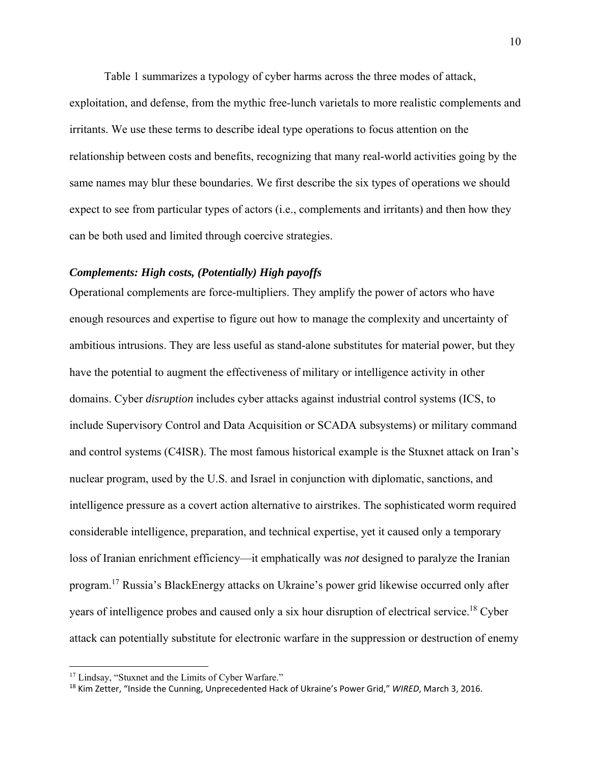Table 1 summarizes a typology of cyber harms across the three modes of attack, exploitation, and defense, from the mythic free-lunch varietals to more realistic complements and irritants. We use these terms to describe ideal type operations to focus attention on the relationship between costs and benefits, recognizing that many real-world activities going by the

same names may blur these boundaries. We first describe the six types of operations we should expect to see from particular types of actors (i.e., complements and irritants) and then how they can be both used and limited through coercive strategies.

## *Complements: High costs, (Potentially) High payoffs*

Operational complements are force-multipliers. They amplify the power of actors who have enough resources and expertise to figure out how to manage the complexity and uncertainty of ambitious intrusions. They are less useful as stand-alone substitutes for material power, but they have the potential to augment the effectiveness of military or intelligence activity in other domains. Cyber *disruption* includes cyber attacks against industrial control systems (ICS, to include Supervisory Control and Data Acquisition or SCADA subsystems) or military command and control systems (C4ISR). The most famous historical example is the Stuxnet attack on Iran's nuclear program, used by the U.S. and Israel in conjunction with diplomatic, sanctions, and intelligence pressure as a covert action alternative to airstrikes. The sophisticated worm required considerable intelligence, preparation, and technical expertise, yet it caused only a temporary loss of Iranian enrichment efficiency—it emphatically was *not* designed to paralyze the Iranian program.17 Russia's BlackEnergy attacks on Ukraine's power grid likewise occurred only after years of intelligence probes and caused only a six hour disruption of electrical service.<sup>18</sup> Cyber attack can potentially substitute for electronic warfare in the suppression or destruction of enemy

<sup>&</sup>lt;sup>17</sup> Lindsay, "Stuxnet and the Limits of Cyber Warfare."

<sup>18</sup> Kim Zetter, "Inside the Cunning, Unprecedented Hack of Ukraine's Power Grid," *WIRED*, March 3, 2016.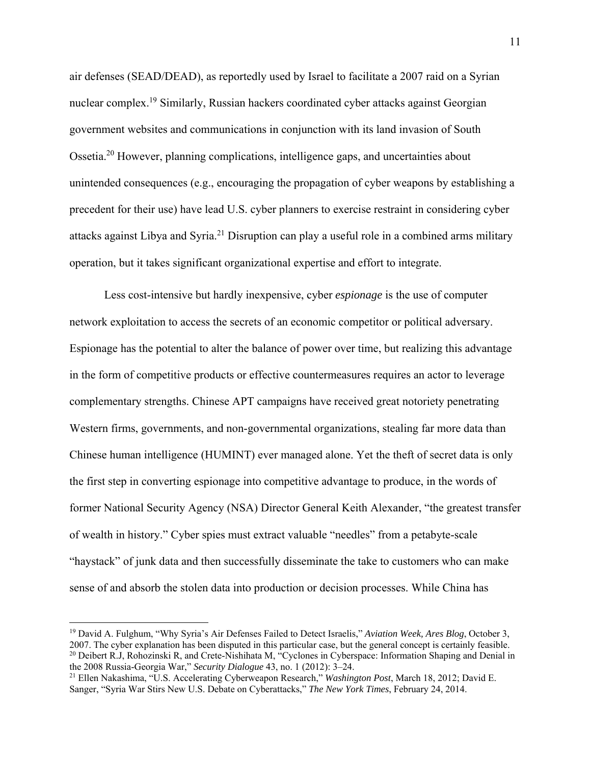air defenses (SEAD/DEAD), as reportedly used by Israel to facilitate a 2007 raid on a Syrian nuclear complex.<sup>19</sup> Similarly, Russian hackers coordinated cyber attacks against Georgian government websites and communications in conjunction with its land invasion of South Ossetia.20 However, planning complications, intelligence gaps, and uncertainties about unintended consequences (e.g., encouraging the propagation of cyber weapons by establishing a precedent for their use) have lead U.S. cyber planners to exercise restraint in considering cyber attacks against Libya and Syria.21 Disruption can play a useful role in a combined arms military operation, but it takes significant organizational expertise and effort to integrate.

Less cost-intensive but hardly inexpensive, cyber *espionage* is the use of computer network exploitation to access the secrets of an economic competitor or political adversary. Espionage has the potential to alter the balance of power over time, but realizing this advantage in the form of competitive products or effective countermeasures requires an actor to leverage complementary strengths. Chinese APT campaigns have received great notoriety penetrating Western firms, governments, and non-governmental organizations, stealing far more data than Chinese human intelligence (HUMINT) ever managed alone. Yet the theft of secret data is only the first step in converting espionage into competitive advantage to produce, in the words of former National Security Agency (NSA) Director General Keith Alexander, "the greatest transfer of wealth in history." Cyber spies must extract valuable "needles" from a petabyte-scale "haystack" of junk data and then successfully disseminate the take to customers who can make sense of and absorb the stolen data into production or decision processes. While China has

<sup>19</sup> David A. Fulghum, "Why Syria's Air Defenses Failed to Detect Israelis," *Aviation Week, Ares Blog*, October 3, 2007. The cyber explanation has been disputed in this particular case, but the general concept is certainly feasible. <sup>20</sup> Deibert R.J, Rohozinski R, and Crete-Nishihata M, "Cyclones in Cyberspace: Information Shaping and Denial in the 2008 Russia-Georgia War," Security Dialogue 43, no. 1 (2012): 3-24.

<sup>&</sup>lt;sup>21</sup> Ellen Nakashima, "U.S. Accelerating Cyberweapon Research," *Washington Post*, March 18, 2012; David E. Sanger, "Syria War Stirs New U.S. Debate on Cyberattacks," *The New York Times*, February 24, 2014.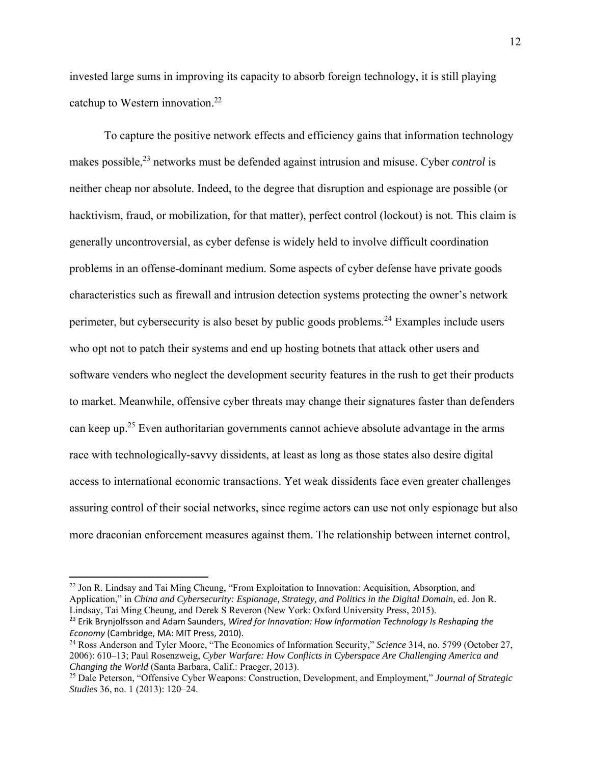invested large sums in improving its capacity to absorb foreign technology, it is still playing catchup to Western innovation.<sup>22</sup>

To capture the positive network effects and efficiency gains that information technology makes possible,<sup>23</sup> networks must be defended against intrusion and misuse. Cyber *control* is neither cheap nor absolute. Indeed, to the degree that disruption and espionage are possible (or hacktivism, fraud, or mobilization, for that matter), perfect control (lockout) is not. This claim is generally uncontroversial, as cyber defense is widely held to involve difficult coordination problems in an offense-dominant medium. Some aspects of cyber defense have private goods characteristics such as firewall and intrusion detection systems protecting the owner's network perimeter, but cybersecurity is also beset by public goods problems.<sup>24</sup> Examples include users who opt not to patch their systems and end up hosting botnets that attack other users and software venders who neglect the development security features in the rush to get their products to market. Meanwhile, offensive cyber threats may change their signatures faster than defenders can keep up.<sup>25</sup> Even authoritarian governments cannot achieve absolute advantage in the arms race with technologically-savvy dissidents, at least as long as those states also desire digital access to international economic transactions. Yet weak dissidents face even greater challenges assuring control of their social networks, since regime actors can use not only espionage but also more draconian enforcement measures against them. The relationship between internet control,

<sup>22</sup> Jon R. Lindsay and Tai Ming Cheung, "From Exploitation to Innovation: Acquisition, Absorption, and Application," in *China and Cybersecurity: Espionage, Strategy, and Politics in the Digital Domain*, ed. Jon R. Lindsay, Tai Ming Cheung, and Derek S Reveron (New York: Oxford University Press, 2015).

<sup>23</sup> Erik Brynjolfsson and Adam Saunders, *Wired for Innovation: How Information Technology Is Reshaping the Economy* (Cambridge, MA: MIT Press, 2010).

<sup>24</sup> Ross Anderson and Tyler Moore, "The Economics of Information Security," *Science* 314, no. 5799 (October 27, 2006): 610–13; Paul Rosenzweig, *Cyber Warfare: How Conflicts in Cyberspace Are Challenging America and Changing the World* (Santa Barbara, Calif.: Praeger, 2013).

<sup>25</sup> Dale Peterson, "Offensive Cyber Weapons: Construction, Development, and Employment," *Journal of Strategic Studies* 36, no. 1 (2013): 120–24.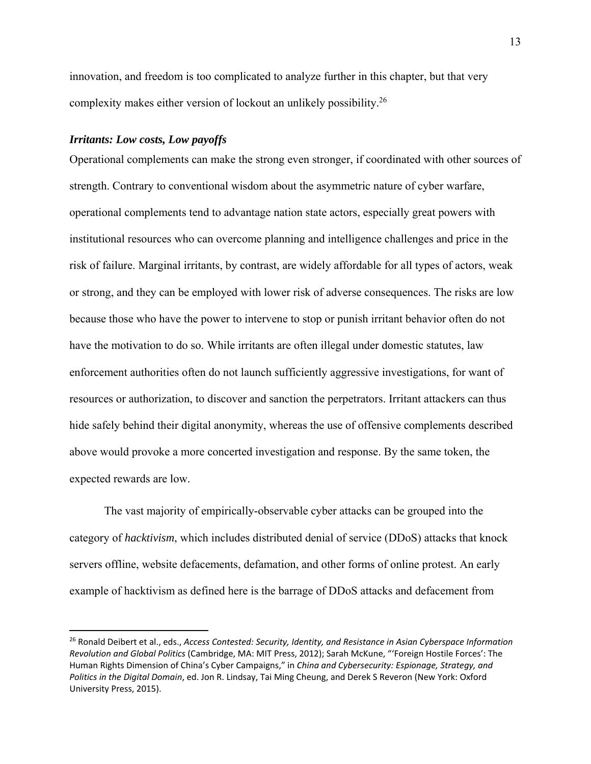innovation, and freedom is too complicated to analyze further in this chapter, but that very complexity makes either version of lockout an unlikely possibility.<sup>26</sup>

### *Irritants: Low costs, Low payoffs*

Operational complements can make the strong even stronger, if coordinated with other sources of strength. Contrary to conventional wisdom about the asymmetric nature of cyber warfare, operational complements tend to advantage nation state actors, especially great powers with institutional resources who can overcome planning and intelligence challenges and price in the risk of failure. Marginal irritants, by contrast, are widely affordable for all types of actors, weak or strong, and they can be employed with lower risk of adverse consequences. The risks are low because those who have the power to intervene to stop or punish irritant behavior often do not have the motivation to do so. While irritants are often illegal under domestic statutes, law enforcement authorities often do not launch sufficiently aggressive investigations, for want of resources or authorization, to discover and sanction the perpetrators. Irritant attackers can thus hide safely behind their digital anonymity, whereas the use of offensive complements described above would provoke a more concerted investigation and response. By the same token, the expected rewards are low.

The vast majority of empirically-observable cyber attacks can be grouped into the category of *hacktivism*, which includes distributed denial of service (DDoS) attacks that knock servers offline, website defacements, defamation, and other forms of online protest. An early example of hacktivism as defined here is the barrage of DDoS attacks and defacement from

<sup>26</sup> Ronald Deibert et al., eds., *Access Contested: Security, Identity, and Resistance in Asian Cyberspace Information Revolution and Global Politics* (Cambridge, MA: MIT Press, 2012); Sarah McKune, "'Foreign Hostile Forces': The Human Rights Dimension of China's Cyber Campaigns," in *China and Cybersecurity: Espionage, Strategy, and Politics in the Digital Domain*, ed. Jon R. Lindsay, Tai Ming Cheung, and Derek S Reveron (New York: Oxford University Press, 2015).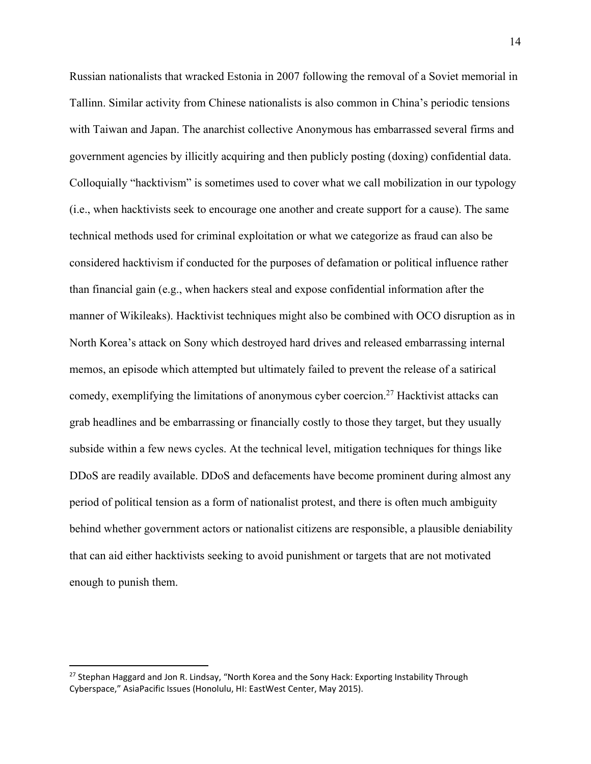Russian nationalists that wracked Estonia in 2007 following the removal of a Soviet memorial in Tallinn. Similar activity from Chinese nationalists is also common in China's periodic tensions with Taiwan and Japan. The anarchist collective Anonymous has embarrassed several firms and government agencies by illicitly acquiring and then publicly posting (doxing) confidential data. Colloquially "hacktivism" is sometimes used to cover what we call mobilization in our typology (i.e., when hacktivists seek to encourage one another and create support for a cause). The same technical methods used for criminal exploitation or what we categorize as fraud can also be considered hacktivism if conducted for the purposes of defamation or political influence rather than financial gain (e.g., when hackers steal and expose confidential information after the manner of Wikileaks). Hacktivist techniques might also be combined with OCO disruption as in North Korea's attack on Sony which destroyed hard drives and released embarrassing internal memos, an episode which attempted but ultimately failed to prevent the release of a satirical comedy, exemplifying the limitations of anonymous cyber coercion.<sup>27</sup> Hacktivist attacks can grab headlines and be embarrassing or financially costly to those they target, but they usually subside within a few news cycles. At the technical level, mitigation techniques for things like DDoS are readily available. DDoS and defacements have become prominent during almost any period of political tension as a form of nationalist protest, and there is often much ambiguity behind whether government actors or nationalist citizens are responsible, a plausible deniability that can aid either hacktivists seeking to avoid punishment or targets that are not motivated enough to punish them.

<sup>&</sup>lt;sup>27</sup> Stephan Haggard and Jon R. Lindsay, "North Korea and the Sony Hack: Exporting Instability Through Cyberspace," AsiaPacific Issues (Honolulu, HI: EastWest Center, May 2015).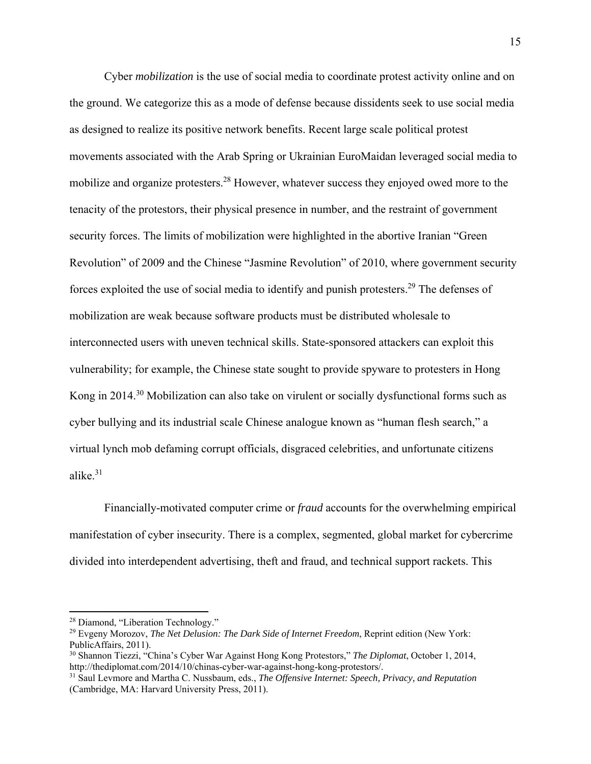Cyber *mobilization* is the use of social media to coordinate protest activity online and on the ground. We categorize this as a mode of defense because dissidents seek to use social media as designed to realize its positive network benefits. Recent large scale political protest movements associated with the Arab Spring or Ukrainian EuroMaidan leveraged social media to mobilize and organize protesters.<sup>28</sup> However, whatever success they enjoyed owed more to the tenacity of the protestors, their physical presence in number, and the restraint of government security forces. The limits of mobilization were highlighted in the abortive Iranian "Green Revolution" of 2009 and the Chinese "Jasmine Revolution" of 2010, where government security forces exploited the use of social media to identify and punish protesters.<sup>29</sup> The defenses of mobilization are weak because software products must be distributed wholesale to interconnected users with uneven technical skills. State-sponsored attackers can exploit this vulnerability; for example, the Chinese state sought to provide spyware to protesters in Hong Kong in 2014.30 Mobilization can also take on virulent or socially dysfunctional forms such as cyber bullying and its industrial scale Chinese analogue known as "human flesh search," a virtual lynch mob defaming corrupt officials, disgraced celebrities, and unfortunate citizens alike.<sup>31</sup>

Financially-motivated computer crime or *fraud* accounts for the overwhelming empirical manifestation of cyber insecurity. There is a complex, segmented, global market for cybercrime divided into interdependent advertising, theft and fraud, and technical support rackets. This

 28 Diamond, "Liberation Technology."

<sup>29</sup> Evgeny Morozov, *The Net Delusion: The Dark Side of Internet Freedom*, Reprint edition (New York: PublicAffairs, 2011).

<sup>30</sup> Shannon Tiezzi, "China's Cyber War Against Hong Kong Protestors," *The Diplomat*, October 1, 2014, http://thediplomat.com/2014/10/chinas-cyber-war-against-hong-kong-protestors/.

<sup>31</sup> Saul Levmore and Martha C. Nussbaum, eds., *The Offensive Internet: Speech, Privacy, and Reputation* (Cambridge, MA: Harvard University Press, 2011).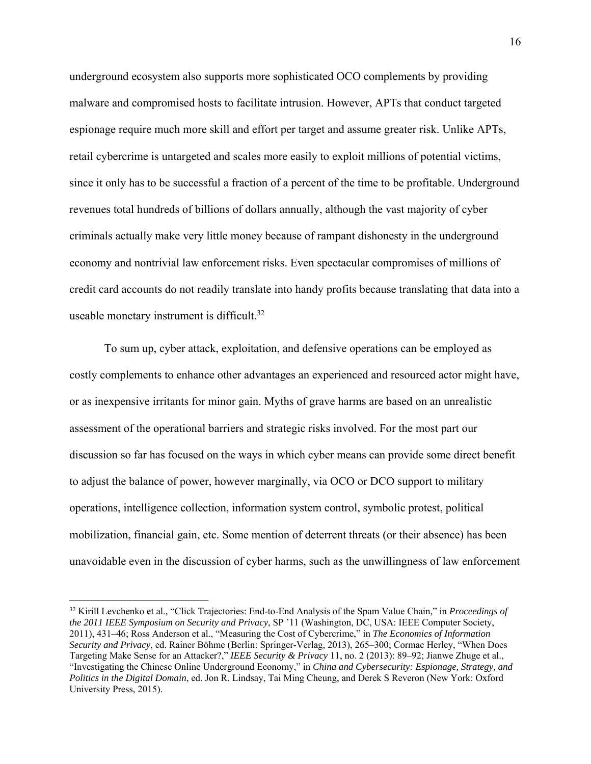underground ecosystem also supports more sophisticated OCO complements by providing malware and compromised hosts to facilitate intrusion. However, APTs that conduct targeted espionage require much more skill and effort per target and assume greater risk. Unlike APTs, retail cybercrime is untargeted and scales more easily to exploit millions of potential victims, since it only has to be successful a fraction of a percent of the time to be profitable. Underground revenues total hundreds of billions of dollars annually, although the vast majority of cyber criminals actually make very little money because of rampant dishonesty in the underground economy and nontrivial law enforcement risks. Even spectacular compromises of millions of credit card accounts do not readily translate into handy profits because translating that data into a useable monetary instrument is difficult.<sup>32</sup>

To sum up, cyber attack, exploitation, and defensive operations can be employed as costly complements to enhance other advantages an experienced and resourced actor might have, or as inexpensive irritants for minor gain. Myths of grave harms are based on an unrealistic assessment of the operational barriers and strategic risks involved. For the most part our discussion so far has focused on the ways in which cyber means can provide some direct benefit to adjust the balance of power, however marginally, via OCO or DCO support to military operations, intelligence collection, information system control, symbolic protest, political mobilization, financial gain, etc. Some mention of deterrent threats (or their absence) has been unavoidable even in the discussion of cyber harms, such as the unwillingness of law enforcement

<sup>32</sup> Kirill Levchenko et al., "Click Trajectories: End-to-End Analysis of the Spam Value Chain," in *Proceedings of the 2011 IEEE Symposium on Security and Privacy*, SP '11 (Washington, DC, USA: IEEE Computer Society, 2011), 431–46; Ross Anderson et al., "Measuring the Cost of Cybercrime," in *The Economics of Information Security and Privacy*, ed. Rainer Böhme (Berlin: Springer-Verlag, 2013), 265–300; Cormac Herley, "When Does Targeting Make Sense for an Attacker?," *IEEE Security & Privacy* 11, no. 2 (2013): 89–92; Jianwe Zhuge et al., "Investigating the Chinese Online Underground Economy," in *China and Cybersecurity: Espionage, Strategy, and Politics in the Digital Domain*, ed. Jon R. Lindsay, Tai Ming Cheung, and Derek S Reveron (New York: Oxford University Press, 2015).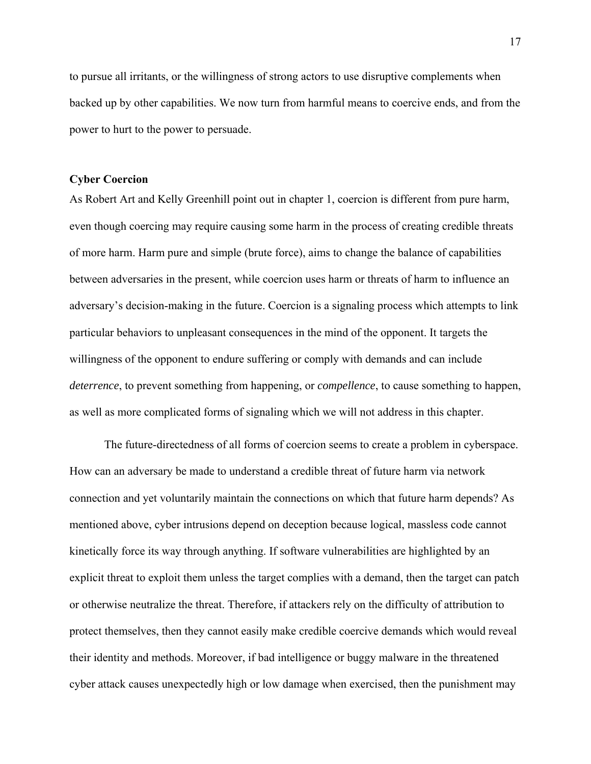to pursue all irritants, or the willingness of strong actors to use disruptive complements when backed up by other capabilities. We now turn from harmful means to coercive ends, and from the power to hurt to the power to persuade.

### **Cyber Coercion**

As Robert Art and Kelly Greenhill point out in chapter 1, coercion is different from pure harm, even though coercing may require causing some harm in the process of creating credible threats of more harm. Harm pure and simple (brute force), aims to change the balance of capabilities between adversaries in the present, while coercion uses harm or threats of harm to influence an adversary's decision-making in the future. Coercion is a signaling process which attempts to link particular behaviors to unpleasant consequences in the mind of the opponent. It targets the willingness of the opponent to endure suffering or comply with demands and can include *deterrence*, to prevent something from happening, or *compellence*, to cause something to happen, as well as more complicated forms of signaling which we will not address in this chapter.

The future-directedness of all forms of coercion seems to create a problem in cyberspace. How can an adversary be made to understand a credible threat of future harm via network connection and yet voluntarily maintain the connections on which that future harm depends? As mentioned above, cyber intrusions depend on deception because logical, massless code cannot kinetically force its way through anything. If software vulnerabilities are highlighted by an explicit threat to exploit them unless the target complies with a demand, then the target can patch or otherwise neutralize the threat. Therefore, if attackers rely on the difficulty of attribution to protect themselves, then they cannot easily make credible coercive demands which would reveal their identity and methods. Moreover, if bad intelligence or buggy malware in the threatened cyber attack causes unexpectedly high or low damage when exercised, then the punishment may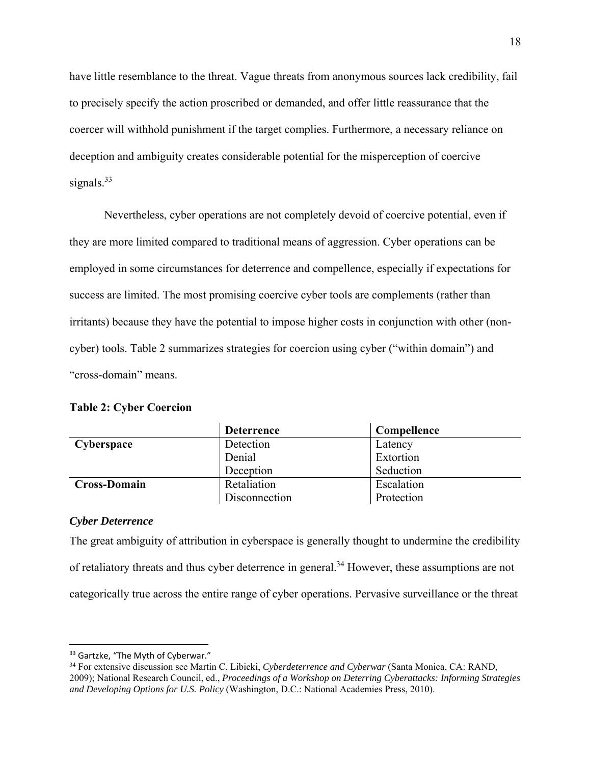have little resemblance to the threat. Vague threats from anonymous sources lack credibility, fail to precisely specify the action proscribed or demanded, and offer little reassurance that the coercer will withhold punishment if the target complies. Furthermore, a necessary reliance on deception and ambiguity creates considerable potential for the misperception of coercive signals.<sup>33</sup>

Nevertheless, cyber operations are not completely devoid of coercive potential, even if they are more limited compared to traditional means of aggression. Cyber operations can be employed in some circumstances for deterrence and compellence, especially if expectations for success are limited. The most promising coercive cyber tools are complements (rather than irritants) because they have the potential to impose higher costs in conjunction with other (noncyber) tools. Table 2 summarizes strategies for coercion using cyber ("within domain") and "cross-domain" means.

| <b>Table 2: Cyber Coercion</b> |  |  |
|--------------------------------|--|--|
|--------------------------------|--|--|

|                     | <b>Deterrence</b> | Compellence |
|---------------------|-------------------|-------------|
| Cyberspace          | Detection         | Latency     |
|                     | Denial            | Extortion   |
|                     | Deception         | Seduction   |
| <b>Cross-Domain</b> | Retaliation       | Escalation  |
|                     | Disconnection     | Protection  |

## *Cyber Deterrence*

The great ambiguity of attribution in cyberspace is generally thought to undermine the credibility of retaliatory threats and thus cyber deterrence in general.<sup>34</sup> However, these assumptions are not categorically true across the entire range of cyber operations. Pervasive surveillance or the threat

 <sup>33</sup> Gartzke, "The Myth of Cyberwar."

<sup>34</sup> For extensive discussion see Martin C. Libicki, *Cyberdeterrence and Cyberwar* (Santa Monica, CA: RAND, 2009); National Research Council, ed., *Proceedings of a Workshop on Deterring Cyberattacks: Informing Strategies and Developing Options for U.S. Policy* (Washington, D.C.: National Academies Press, 2010).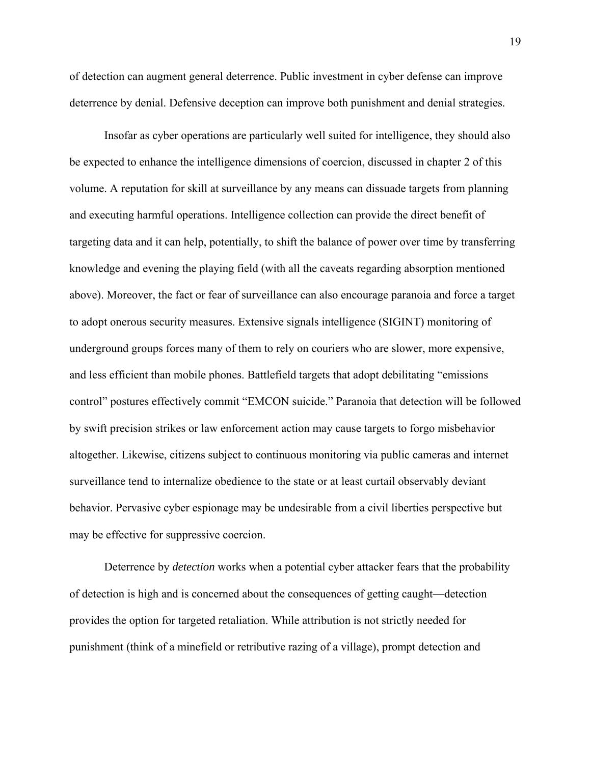of detection can augment general deterrence. Public investment in cyber defense can improve deterrence by denial. Defensive deception can improve both punishment and denial strategies.

Insofar as cyber operations are particularly well suited for intelligence, they should also be expected to enhance the intelligence dimensions of coercion, discussed in chapter 2 of this volume. A reputation for skill at surveillance by any means can dissuade targets from planning and executing harmful operations. Intelligence collection can provide the direct benefit of targeting data and it can help, potentially, to shift the balance of power over time by transferring knowledge and evening the playing field (with all the caveats regarding absorption mentioned above). Moreover, the fact or fear of surveillance can also encourage paranoia and force a target to adopt onerous security measures. Extensive signals intelligence (SIGINT) monitoring of underground groups forces many of them to rely on couriers who are slower, more expensive, and less efficient than mobile phones. Battlefield targets that adopt debilitating "emissions control" postures effectively commit "EMCON suicide." Paranoia that detection will be followed by swift precision strikes or law enforcement action may cause targets to forgo misbehavior altogether. Likewise, citizens subject to continuous monitoring via public cameras and internet surveillance tend to internalize obedience to the state or at least curtail observably deviant behavior. Pervasive cyber espionage may be undesirable from a civil liberties perspective but may be effective for suppressive coercion.

Deterrence by *detection* works when a potential cyber attacker fears that the probability of detection is high and is concerned about the consequences of getting caught—detection provides the option for targeted retaliation. While attribution is not strictly needed for punishment (think of a minefield or retributive razing of a village), prompt detection and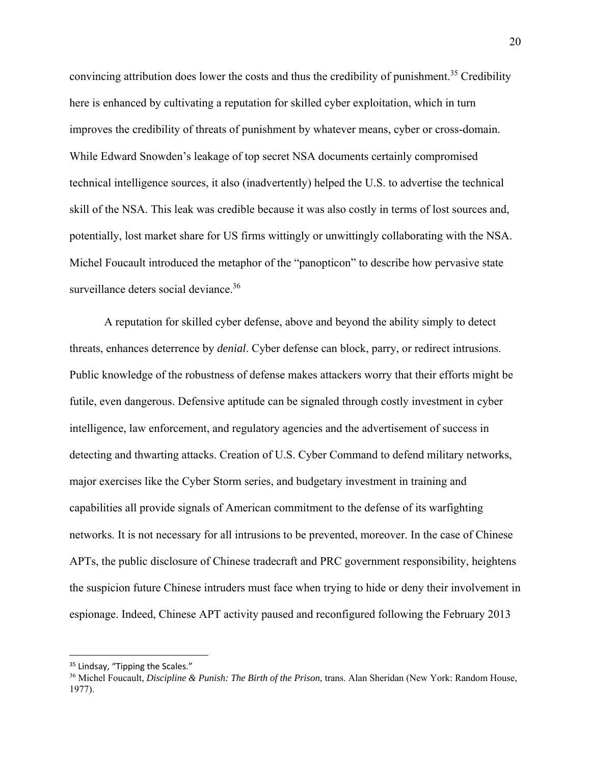convincing attribution does lower the costs and thus the credibility of punishment.<sup>35</sup> Credibility here is enhanced by cultivating a reputation for skilled cyber exploitation, which in turn improves the credibility of threats of punishment by whatever means, cyber or cross-domain. While Edward Snowden's leakage of top secret NSA documents certainly compromised technical intelligence sources, it also (inadvertently) helped the U.S. to advertise the technical skill of the NSA. This leak was credible because it was also costly in terms of lost sources and, potentially, lost market share for US firms wittingly or unwittingly collaborating with the NSA. Michel Foucault introduced the metaphor of the "panopticon" to describe how pervasive state surveillance deters social deviance.<sup>36</sup>

A reputation for skilled cyber defense, above and beyond the ability simply to detect threats, enhances deterrence by *denial*. Cyber defense can block, parry, or redirect intrusions. Public knowledge of the robustness of defense makes attackers worry that their efforts might be futile, even dangerous. Defensive aptitude can be signaled through costly investment in cyber intelligence, law enforcement, and regulatory agencies and the advertisement of success in detecting and thwarting attacks. Creation of U.S. Cyber Command to defend military networks, major exercises like the Cyber Storm series, and budgetary investment in training and capabilities all provide signals of American commitment to the defense of its warfighting networks. It is not necessary for all intrusions to be prevented, moreover. In the case of Chinese APTs, the public disclosure of Chinese tradecraft and PRC government responsibility, heightens the suspicion future Chinese intruders must face when trying to hide or deny their involvement in espionage. Indeed, Chinese APT activity paused and reconfigured following the February 2013

<sup>&</sup>lt;sup>35</sup> Lindsay, "Tipping the Scales."

<sup>36</sup> Michel Foucault, *Discipline & Punish: The Birth of the Prison*, trans. Alan Sheridan (New York: Random House, 1977).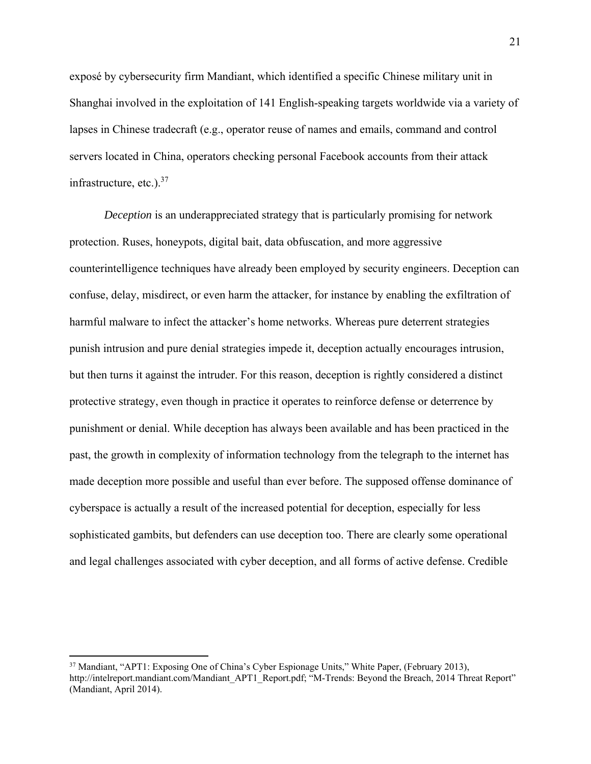exposé by cybersecurity firm Mandiant, which identified a specific Chinese military unit in Shanghai involved in the exploitation of 141 English-speaking targets worldwide via a variety of lapses in Chinese tradecraft (e.g., operator reuse of names and emails, command and control servers located in China, operators checking personal Facebook accounts from their attack infrastructure, etc.). $37$ 

*Deception* is an underappreciated strategy that is particularly promising for network protection. Ruses, honeypots, digital bait, data obfuscation, and more aggressive counterintelligence techniques have already been employed by security engineers. Deception can confuse, delay, misdirect, or even harm the attacker, for instance by enabling the exfiltration of harmful malware to infect the attacker's home networks. Whereas pure deterrent strategies punish intrusion and pure denial strategies impede it, deception actually encourages intrusion, but then turns it against the intruder. For this reason, deception is rightly considered a distinct protective strategy, even though in practice it operates to reinforce defense or deterrence by punishment or denial. While deception has always been available and has been practiced in the past, the growth in complexity of information technology from the telegraph to the internet has made deception more possible and useful than ever before. The supposed offense dominance of cyberspace is actually a result of the increased potential for deception, especially for less sophisticated gambits, but defenders can use deception too. There are clearly some operational and legal challenges associated with cyber deception, and all forms of active defense. Credible

<sup>37</sup> Mandiant, "APT1: Exposing One of China's Cyber Espionage Units," White Paper, (February 2013), http://intelreport.mandiant.com/Mandiant\_APT1\_Report.pdf; "M-Trends: Beyond the Breach, 2014 Threat Report" (Mandiant, April 2014).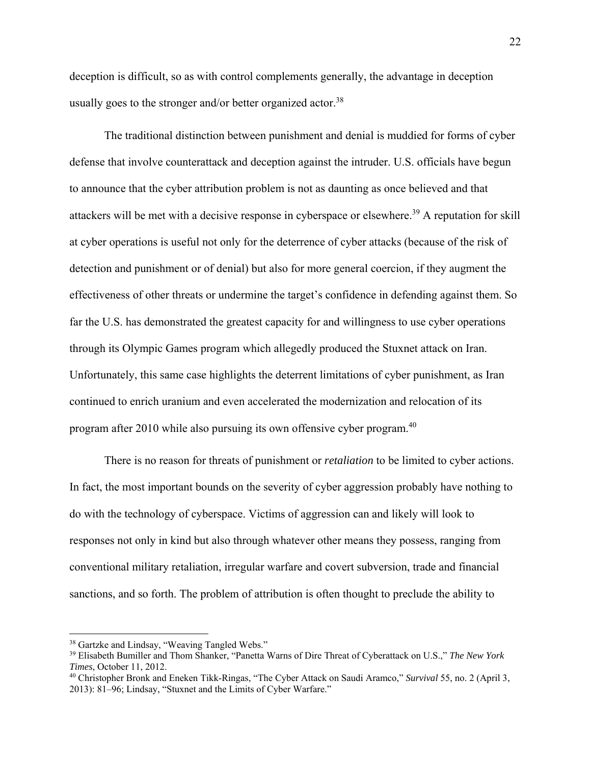deception is difficult, so as with control complements generally, the advantage in deception usually goes to the stronger and/or better organized actor.<sup>38</sup>

The traditional distinction between punishment and denial is muddied for forms of cyber defense that involve counterattack and deception against the intruder. U.S. officials have begun to announce that the cyber attribution problem is not as daunting as once believed and that attackers will be met with a decisive response in cyberspace or elsewhere.<sup>39</sup> A reputation for skill at cyber operations is useful not only for the deterrence of cyber attacks (because of the risk of detection and punishment or of denial) but also for more general coercion, if they augment the effectiveness of other threats or undermine the target's confidence in defending against them. So far the U.S. has demonstrated the greatest capacity for and willingness to use cyber operations through its Olympic Games program which allegedly produced the Stuxnet attack on Iran. Unfortunately, this same case highlights the deterrent limitations of cyber punishment, as Iran continued to enrich uranium and even accelerated the modernization and relocation of its program after 2010 while also pursuing its own offensive cyber program.<sup>40</sup>

There is no reason for threats of punishment or *retaliation* to be limited to cyber actions. In fact, the most important bounds on the severity of cyber aggression probably have nothing to do with the technology of cyberspace. Victims of aggression can and likely will look to responses not only in kind but also through whatever other means they possess, ranging from conventional military retaliation, irregular warfare and covert subversion, trade and financial sanctions, and so forth. The problem of attribution is often thought to preclude the ability to

<sup>38</sup> Gartzke and Lindsay, "Weaving Tangled Webs."

<sup>39</sup> Elisabeth Bumiller and Thom Shanker, "Panetta Warns of Dire Threat of Cyberattack on U.S.," *The New York Times*, October 11, 2012.

<sup>40</sup> Christopher Bronk and Eneken Tikk-Ringas, "The Cyber Attack on Saudi Aramco," *Survival* 55, no. 2 (April 3, 2013): 81–96; Lindsay, "Stuxnet and the Limits of Cyber Warfare."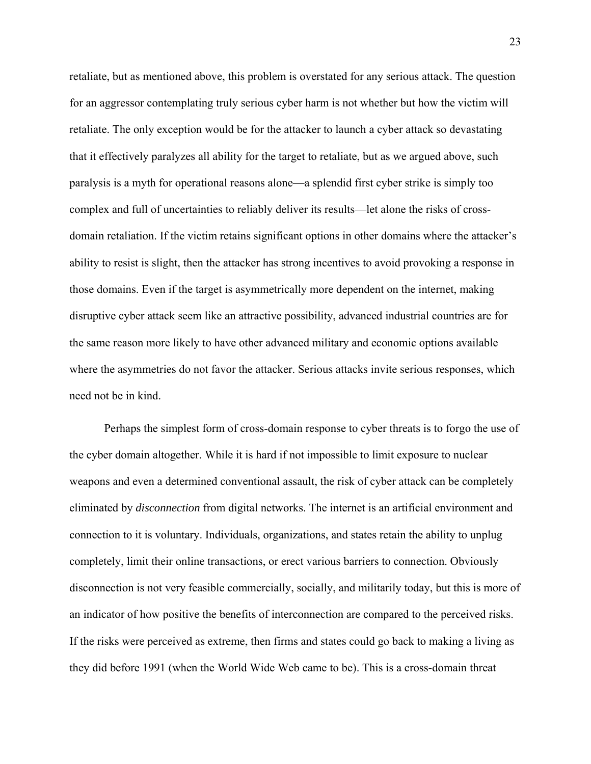retaliate, but as mentioned above, this problem is overstated for any serious attack. The question for an aggressor contemplating truly serious cyber harm is not whether but how the victim will retaliate. The only exception would be for the attacker to launch a cyber attack so devastating that it effectively paralyzes all ability for the target to retaliate, but as we argued above, such paralysis is a myth for operational reasons alone—a splendid first cyber strike is simply too complex and full of uncertainties to reliably deliver its results—let alone the risks of crossdomain retaliation. If the victim retains significant options in other domains where the attacker's ability to resist is slight, then the attacker has strong incentives to avoid provoking a response in those domains. Even if the target is asymmetrically more dependent on the internet, making disruptive cyber attack seem like an attractive possibility, advanced industrial countries are for the same reason more likely to have other advanced military and economic options available where the asymmetries do not favor the attacker. Serious attacks invite serious responses, which need not be in kind.

Perhaps the simplest form of cross-domain response to cyber threats is to forgo the use of the cyber domain altogether. While it is hard if not impossible to limit exposure to nuclear weapons and even a determined conventional assault, the risk of cyber attack can be completely eliminated by *disconnection* from digital networks. The internet is an artificial environment and connection to it is voluntary. Individuals, organizations, and states retain the ability to unplug completely, limit their online transactions, or erect various barriers to connection. Obviously disconnection is not very feasible commercially, socially, and militarily today, but this is more of an indicator of how positive the benefits of interconnection are compared to the perceived risks. If the risks were perceived as extreme, then firms and states could go back to making a living as they did before 1991 (when the World Wide Web came to be). This is a cross-domain threat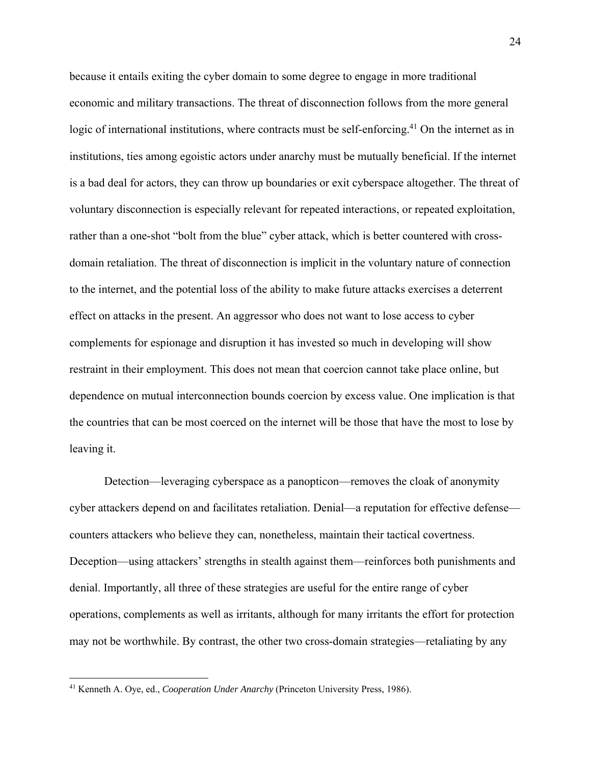because it entails exiting the cyber domain to some degree to engage in more traditional economic and military transactions. The threat of disconnection follows from the more general logic of international institutions, where contracts must be self-enforcing.<sup>41</sup> On the internet as in institutions, ties among egoistic actors under anarchy must be mutually beneficial. If the internet is a bad deal for actors, they can throw up boundaries or exit cyberspace altogether. The threat of voluntary disconnection is especially relevant for repeated interactions, or repeated exploitation, rather than a one-shot "bolt from the blue" cyber attack, which is better countered with crossdomain retaliation. The threat of disconnection is implicit in the voluntary nature of connection to the internet, and the potential loss of the ability to make future attacks exercises a deterrent effect on attacks in the present. An aggressor who does not want to lose access to cyber complements for espionage and disruption it has invested so much in developing will show restraint in their employment. This does not mean that coercion cannot take place online, but dependence on mutual interconnection bounds coercion by excess value. One implication is that the countries that can be most coerced on the internet will be those that have the most to lose by leaving it.

Detection—leveraging cyberspace as a panopticon—removes the cloak of anonymity cyber attackers depend on and facilitates retaliation. Denial—a reputation for effective defense counters attackers who believe they can, nonetheless, maintain their tactical covertness. Deception—using attackers' strengths in stealth against them—reinforces both punishments and denial. Importantly, all three of these strategies are useful for the entire range of cyber operations, complements as well as irritants, although for many irritants the effort for protection may not be worthwhile. By contrast, the other two cross-domain strategies—retaliating by any

<sup>41</sup> Kenneth A. Oye, ed., *Cooperation Under Anarchy* (Princeton University Press, 1986).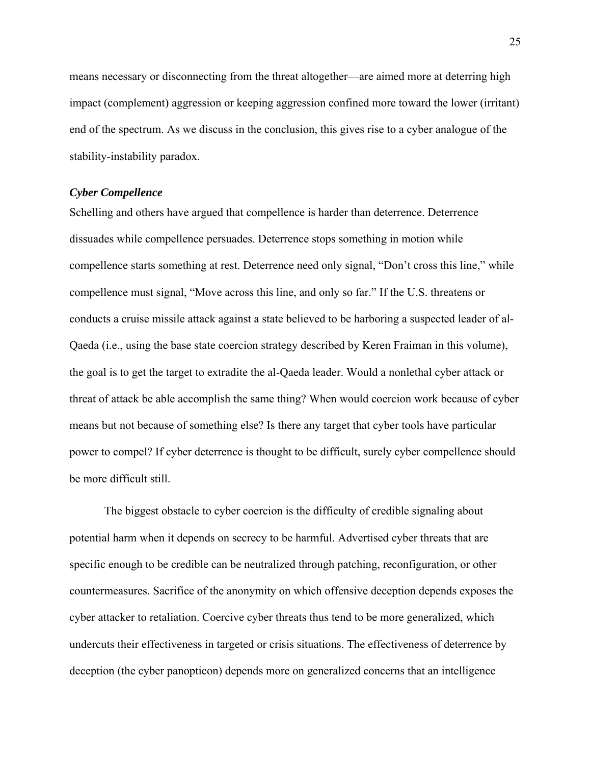means necessary or disconnecting from the threat altogether—are aimed more at deterring high impact (complement) aggression or keeping aggression confined more toward the lower (irritant) end of the spectrum. As we discuss in the conclusion, this gives rise to a cyber analogue of the stability-instability paradox.

## *Cyber Compellence*

Schelling and others have argued that compellence is harder than deterrence. Deterrence dissuades while compellence persuades. Deterrence stops something in motion while compellence starts something at rest. Deterrence need only signal, "Don't cross this line," while compellence must signal, "Move across this line, and only so far." If the U.S. threatens or conducts a cruise missile attack against a state believed to be harboring a suspected leader of al-Qaeda (i.e., using the base state coercion strategy described by Keren Fraiman in this volume), the goal is to get the target to extradite the al-Qaeda leader. Would a nonlethal cyber attack or threat of attack be able accomplish the same thing? When would coercion work because of cyber means but not because of something else? Is there any target that cyber tools have particular power to compel? If cyber deterrence is thought to be difficult, surely cyber compellence should be more difficult still.

The biggest obstacle to cyber coercion is the difficulty of credible signaling about potential harm when it depends on secrecy to be harmful. Advertised cyber threats that are specific enough to be credible can be neutralized through patching, reconfiguration, or other countermeasures. Sacrifice of the anonymity on which offensive deception depends exposes the cyber attacker to retaliation. Coercive cyber threats thus tend to be more generalized, which undercuts their effectiveness in targeted or crisis situations. The effectiveness of deterrence by deception (the cyber panopticon) depends more on generalized concerns that an intelligence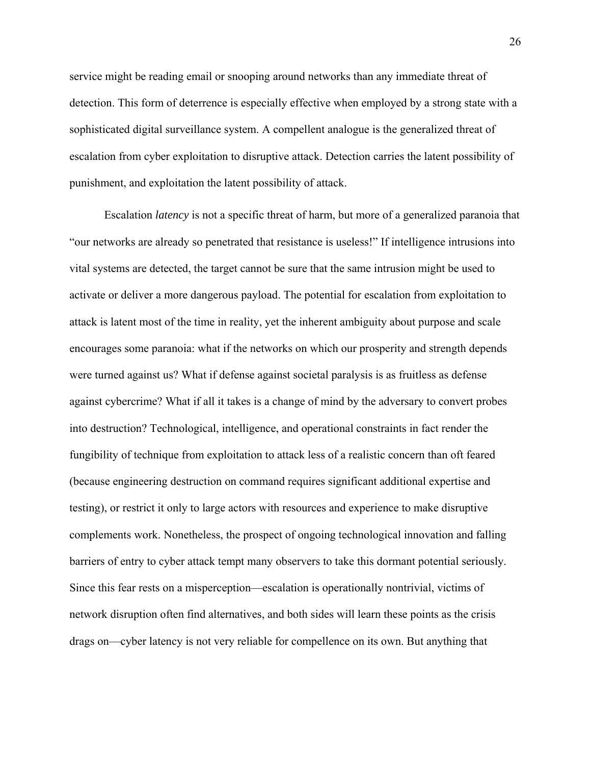service might be reading email or snooping around networks than any immediate threat of detection. This form of deterrence is especially effective when employed by a strong state with a sophisticated digital surveillance system. A compellent analogue is the generalized threat of escalation from cyber exploitation to disruptive attack. Detection carries the latent possibility of punishment, and exploitation the latent possibility of attack.

Escalation *latency* is not a specific threat of harm, but more of a generalized paranoia that "our networks are already so penetrated that resistance is useless!" If intelligence intrusions into vital systems are detected, the target cannot be sure that the same intrusion might be used to activate or deliver a more dangerous payload. The potential for escalation from exploitation to attack is latent most of the time in reality, yet the inherent ambiguity about purpose and scale encourages some paranoia: what if the networks on which our prosperity and strength depends were turned against us? What if defense against societal paralysis is as fruitless as defense against cybercrime? What if all it takes is a change of mind by the adversary to convert probes into destruction? Technological, intelligence, and operational constraints in fact render the fungibility of technique from exploitation to attack less of a realistic concern than oft feared (because engineering destruction on command requires significant additional expertise and testing), or restrict it only to large actors with resources and experience to make disruptive complements work. Nonetheless, the prospect of ongoing technological innovation and falling barriers of entry to cyber attack tempt many observers to take this dormant potential seriously. Since this fear rests on a misperception—escalation is operationally nontrivial, victims of network disruption often find alternatives, and both sides will learn these points as the crisis drags on—cyber latency is not very reliable for compellence on its own. But anything that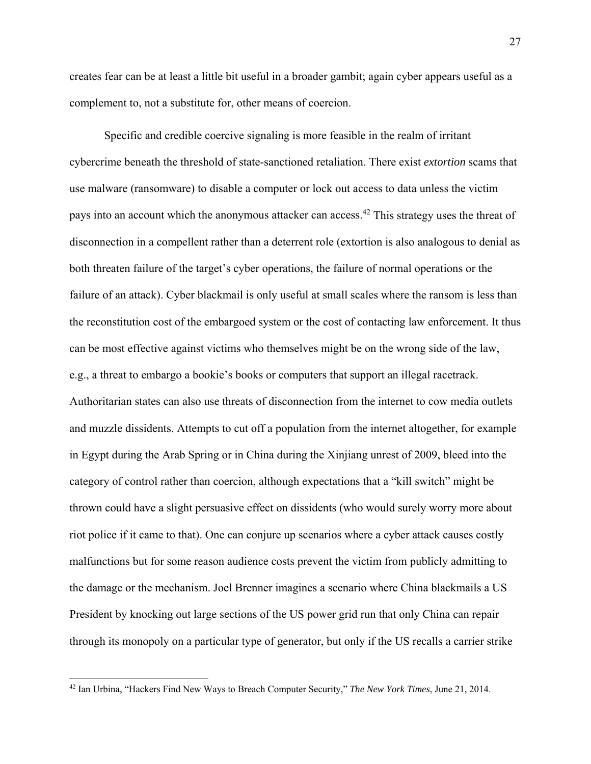creates fear can be at least a little bit useful in a broader gambit; again cyber appears useful as a complement to, not a substitute for, other means of coercion.

Specific and credible coercive signaling is more feasible in the realm of irritant cybercrime beneath the threshold of state-sanctioned retaliation. There exist *extortion* scams that use malware (ransomware) to disable a computer or lock out access to data unless the victim pays into an account which the anonymous attacker can access.<sup>42</sup> This strategy uses the threat of disconnection in a compellent rather than a deterrent role (extortion is also analogous to denial as both threaten failure of the target's cyber operations, the failure of normal operations or the failure of an attack). Cyber blackmail is only useful at small scales where the ransom is less than the reconstitution cost of the embargoed system or the cost of contacting law enforcement. It thus can be most effective against victims who themselves might be on the wrong side of the law, e.g., a threat to embargo a bookie's books or computers that support an illegal racetrack. Authoritarian states can also use threats of disconnection from the internet to cow media outlets and muzzle dissidents. Attempts to cut off a population from the internet altogether, for example in Egypt during the Arab Spring or in China during the Xinjiang unrest of 2009, bleed into the category of control rather than coercion, although expectations that a "kill switch" might be thrown could have a slight persuasive effect on dissidents (who would surely worry more about riot police if it came to that). One can conjure up scenarios where a cyber attack causes costly malfunctions but for some reason audience costs prevent the victim from publicly admitting to the damage or the mechanism. Joel Brenner imagines a scenario where China blackmails a US President by knocking out large sections of the US power grid run that only China can repair through its monopoly on a particular type of generator, but only if the US recalls a carrier strike

<sup>42</sup> Ian Urbina, "Hackers Find New Ways to Breach Computer Security," *The New York Times*, June 21, 2014.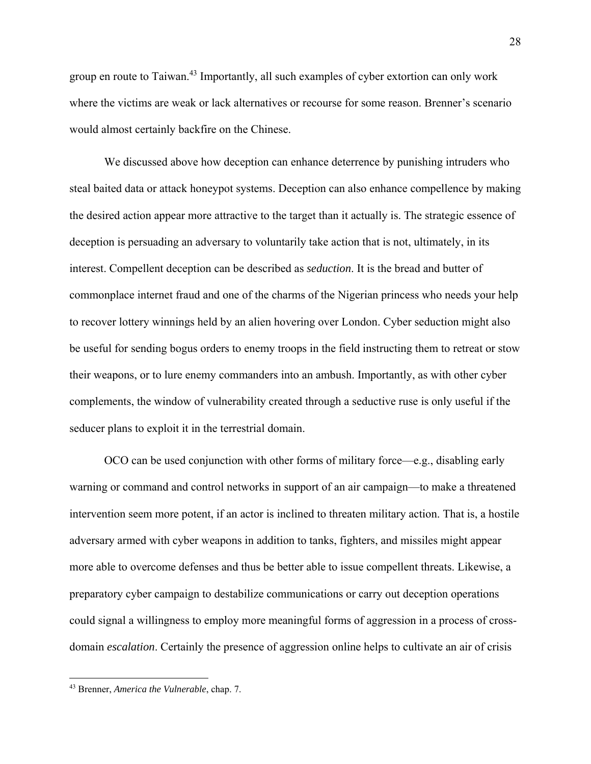group en route to Taiwan.<sup>43</sup> Importantly, all such examples of cyber extortion can only work where the victims are weak or lack alternatives or recourse for some reason. Brenner's scenario would almost certainly backfire on the Chinese.

We discussed above how deception can enhance deterrence by punishing intruders who steal baited data or attack honeypot systems. Deception can also enhance compellence by making the desired action appear more attractive to the target than it actually is. The strategic essence of deception is persuading an adversary to voluntarily take action that is not, ultimately, in its interest. Compellent deception can be described as *seduction*. It is the bread and butter of commonplace internet fraud and one of the charms of the Nigerian princess who needs your help to recover lottery winnings held by an alien hovering over London. Cyber seduction might also be useful for sending bogus orders to enemy troops in the field instructing them to retreat or stow their weapons, or to lure enemy commanders into an ambush. Importantly, as with other cyber complements, the window of vulnerability created through a seductive ruse is only useful if the seducer plans to exploit it in the terrestrial domain.

OCO can be used conjunction with other forms of military force—e.g., disabling early warning or command and control networks in support of an air campaign—to make a threatened intervention seem more potent, if an actor is inclined to threaten military action. That is, a hostile adversary armed with cyber weapons in addition to tanks, fighters, and missiles might appear more able to overcome defenses and thus be better able to issue compellent threats. Likewise, a preparatory cyber campaign to destabilize communications or carry out deception operations could signal a willingness to employ more meaningful forms of aggression in a process of crossdomain *escalation*. Certainly the presence of aggression online helps to cultivate an air of crisis

<sup>43</sup> Brenner, *America the Vulnerable*, chap. 7.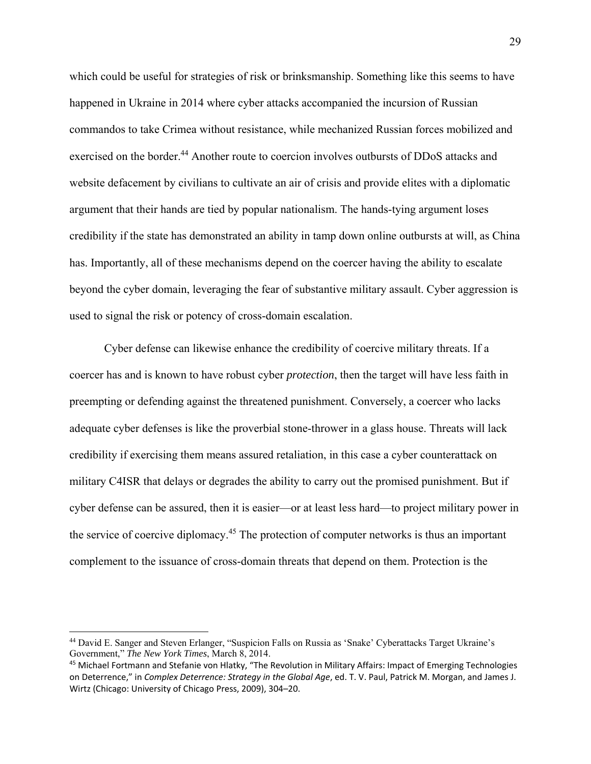which could be useful for strategies of risk or brinksmanship. Something like this seems to have happened in Ukraine in 2014 where cyber attacks accompanied the incursion of Russian commandos to take Crimea without resistance, while mechanized Russian forces mobilized and exercised on the border.<sup>44</sup> Another route to coercion involves outbursts of DDoS attacks and website defacement by civilians to cultivate an air of crisis and provide elites with a diplomatic argument that their hands are tied by popular nationalism. The hands-tying argument loses credibility if the state has demonstrated an ability in tamp down online outbursts at will, as China has. Importantly, all of these mechanisms depend on the coercer having the ability to escalate beyond the cyber domain, leveraging the fear of substantive military assault. Cyber aggression is used to signal the risk or potency of cross-domain escalation.

Cyber defense can likewise enhance the credibility of coercive military threats. If a coercer has and is known to have robust cyber *protection*, then the target will have less faith in preempting or defending against the threatened punishment. Conversely, a coercer who lacks adequate cyber defenses is like the proverbial stone-thrower in a glass house. Threats will lack credibility if exercising them means assured retaliation, in this case a cyber counterattack on military C4ISR that delays or degrades the ability to carry out the promised punishment. But if cyber defense can be assured, then it is easier—or at least less hard—to project military power in the service of coercive diplomacy.<sup>45</sup> The protection of computer networks is thus an important complement to the issuance of cross-domain threats that depend on them. Protection is the

<sup>44</sup> David E. Sanger and Steven Erlanger, "Suspicion Falls on Russia as 'Snake' Cyberattacks Target Ukraine's Government," *The New York Times*, March 8, 2014.

<sup>&</sup>lt;sup>45</sup> Michael Fortmann and Stefanie von Hlatky, "The Revolution in Military Affairs: Impact of Emerging Technologies on Deterrence," in *Complex Deterrence: Strategy in the Global Age*, ed. T. V. Paul, Patrick M. Morgan, and James J. Wirtz (Chicago: University of Chicago Press, 2009), 304–20.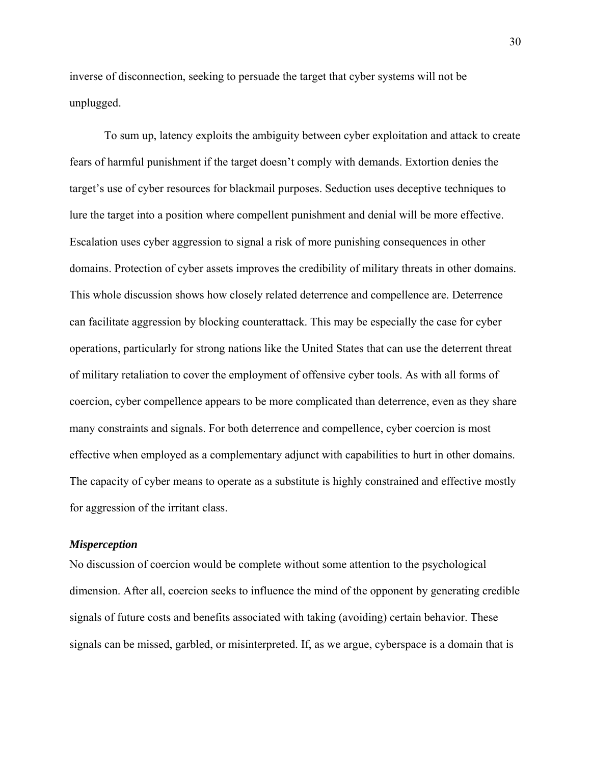inverse of disconnection, seeking to persuade the target that cyber systems will not be unplugged.

To sum up, latency exploits the ambiguity between cyber exploitation and attack to create fears of harmful punishment if the target doesn't comply with demands. Extortion denies the target's use of cyber resources for blackmail purposes. Seduction uses deceptive techniques to lure the target into a position where compellent punishment and denial will be more effective. Escalation uses cyber aggression to signal a risk of more punishing consequences in other domains. Protection of cyber assets improves the credibility of military threats in other domains. This whole discussion shows how closely related deterrence and compellence are. Deterrence can facilitate aggression by blocking counterattack. This may be especially the case for cyber operations, particularly for strong nations like the United States that can use the deterrent threat of military retaliation to cover the employment of offensive cyber tools. As with all forms of coercion, cyber compellence appears to be more complicated than deterrence, even as they share many constraints and signals. For both deterrence and compellence, cyber coercion is most effective when employed as a complementary adjunct with capabilities to hurt in other domains. The capacity of cyber means to operate as a substitute is highly constrained and effective mostly for aggression of the irritant class.

#### *Misperception*

No discussion of coercion would be complete without some attention to the psychological dimension. After all, coercion seeks to influence the mind of the opponent by generating credible signals of future costs and benefits associated with taking (avoiding) certain behavior. These signals can be missed, garbled, or misinterpreted. If, as we argue, cyberspace is a domain that is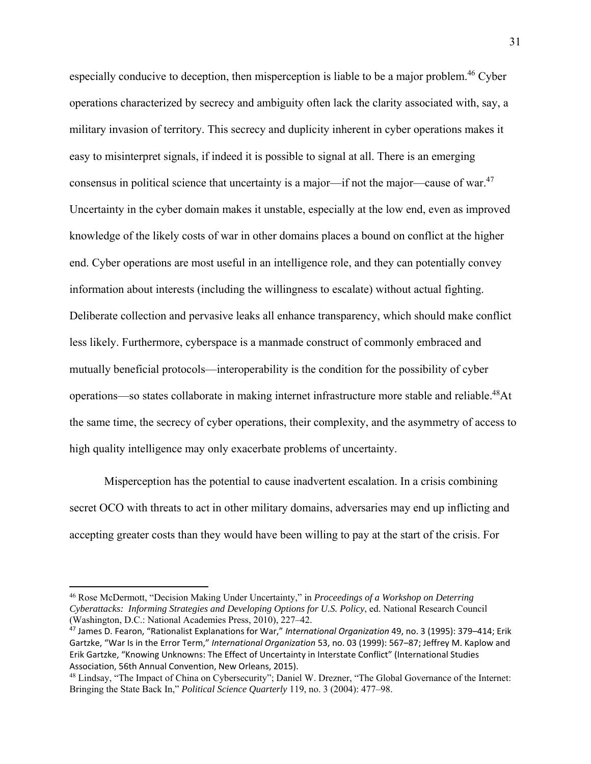especially conducive to deception, then misperception is liable to be a major problem.<sup>46</sup> Cyber operations characterized by secrecy and ambiguity often lack the clarity associated with, say, a military invasion of territory. This secrecy and duplicity inherent in cyber operations makes it easy to misinterpret signals, if indeed it is possible to signal at all. There is an emerging consensus in political science that uncertainty is a major—if not the major—cause of war.<sup>47</sup> Uncertainty in the cyber domain makes it unstable, especially at the low end, even as improved knowledge of the likely costs of war in other domains places a bound on conflict at the higher end. Cyber operations are most useful in an intelligence role, and they can potentially convey information about interests (including the willingness to escalate) without actual fighting. Deliberate collection and pervasive leaks all enhance transparency, which should make conflict less likely. Furthermore, cyberspace is a manmade construct of commonly embraced and mutually beneficial protocols—interoperability is the condition for the possibility of cyber operations—so states collaborate in making internet infrastructure more stable and reliable.<sup>48</sup>At the same time, the secrecy of cyber operations, their complexity, and the asymmetry of access to high quality intelligence may only exacerbate problems of uncertainty.

Misperception has the potential to cause inadvertent escalation. In a crisis combining secret OCO with threats to act in other military domains, adversaries may end up inflicting and accepting greater costs than they would have been willing to pay at the start of the crisis. For

<sup>46</sup> Rose McDermott, "Decision Making Under Uncertainty," in *Proceedings of a Workshop on Deterring Cyberattacks: Informing Strategies and Developing Options for U.S. Policy*, ed. National Research Council (Washington, D.C.: National Academies Press, 2010), 227–42.

<sup>47</sup> James D. Fearon, "Rationalist Explanations for War," *International Organization* 49, no. 3 (1995): 379–414; Erik Gartzke, "War Is in the Error Term," *International Organization* 53, no. 03 (1999): 567–87; Jeffrey M. Kaplow and Erik Gartzke, "Knowing Unknowns: The Effect of Uncertainty in Interstate Conflict" (International Studies Association, 56th Annual Convention, New Orleans, 2015).

<sup>48</sup> Lindsay, "The Impact of China on Cybersecurity"; Daniel W. Drezner, "The Global Governance of the Internet: Bringing the State Back In," *Political Science Quarterly* 119, no. 3 (2004): 477–98.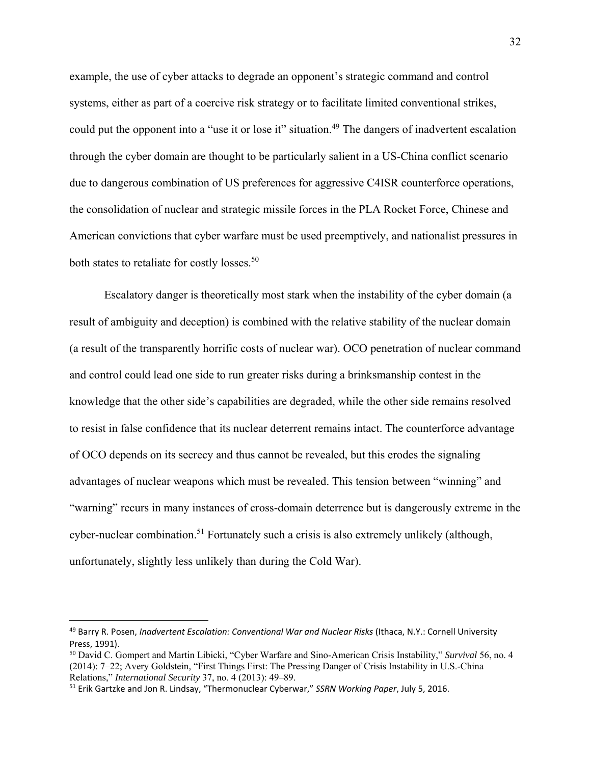example, the use of cyber attacks to degrade an opponent's strategic command and control systems, either as part of a coercive risk strategy or to facilitate limited conventional strikes, could put the opponent into a "use it or lose it" situation.<sup>49</sup> The dangers of inadvertent escalation through the cyber domain are thought to be particularly salient in a US-China conflict scenario due to dangerous combination of US preferences for aggressive C4ISR counterforce operations, the consolidation of nuclear and strategic missile forces in the PLA Rocket Force, Chinese and American convictions that cyber warfare must be used preemptively, and nationalist pressures in both states to retaliate for costly losses.<sup>50</sup>

Escalatory danger is theoretically most stark when the instability of the cyber domain (a result of ambiguity and deception) is combined with the relative stability of the nuclear domain (a result of the transparently horrific costs of nuclear war). OCO penetration of nuclear command and control could lead one side to run greater risks during a brinksmanship contest in the knowledge that the other side's capabilities are degraded, while the other side remains resolved to resist in false confidence that its nuclear deterrent remains intact. The counterforce advantage of OCO depends on its secrecy and thus cannot be revealed, but this erodes the signaling advantages of nuclear weapons which must be revealed. This tension between "winning" and "warning" recurs in many instances of cross-domain deterrence but is dangerously extreme in the cyber-nuclear combination.<sup>51</sup> Fortunately such a crisis is also extremely unlikely (although, unfortunately, slightly less unlikely than during the Cold War).

<sup>49</sup> Barry R. Posen, *Inadvertent Escalation: Conventional War and Nuclear Risks* (Ithaca, N.Y.: Cornell University Press, 1991).

<sup>50</sup> David C. Gompert and Martin Libicki, "Cyber Warfare and Sino-American Crisis Instability," *Survival* 56, no. 4 (2014): 7–22; Avery Goldstein, "First Things First: The Pressing Danger of Crisis Instability in U.S.-China Relations," *International Security* 37, no. 4 (2013): 49–89.

<sup>51</sup> Erik Gartzke and Jon R. Lindsay, "Thermonuclear Cyberwar," *SSRN Working Paper*, July 5, 2016.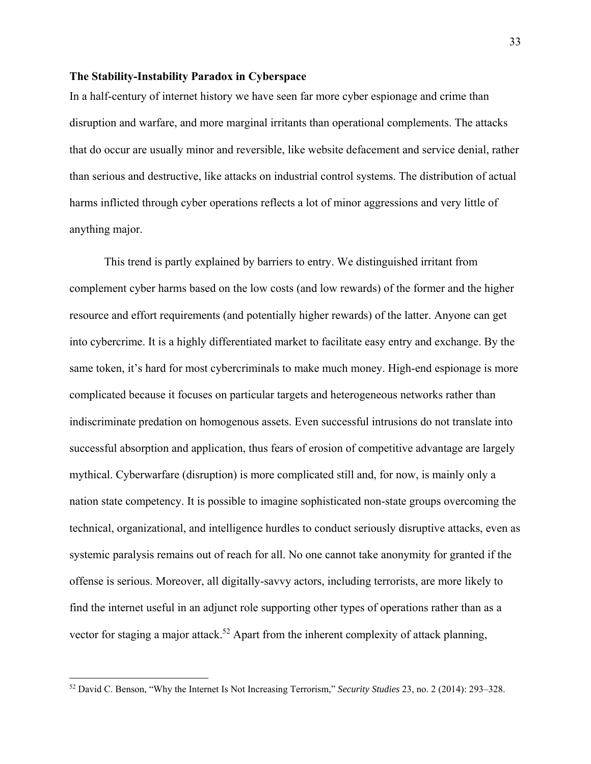#### **The Stability-Instability Paradox in Cyberspace**

In a half-century of internet history we have seen far more cyber espionage and crime than disruption and warfare, and more marginal irritants than operational complements. The attacks that do occur are usually minor and reversible, like website defacement and service denial, rather than serious and destructive, like attacks on industrial control systems. The distribution of actual harms inflicted through cyber operations reflects a lot of minor aggressions and very little of anything major.

This trend is partly explained by barriers to entry. We distinguished irritant from complement cyber harms based on the low costs (and low rewards) of the former and the higher resource and effort requirements (and potentially higher rewards) of the latter. Anyone can get into cybercrime. It is a highly differentiated market to facilitate easy entry and exchange. By the same token, it's hard for most cybercriminals to make much money. High-end espionage is more complicated because it focuses on particular targets and heterogeneous networks rather than indiscriminate predation on homogenous assets. Even successful intrusions do not translate into successful absorption and application, thus fears of erosion of competitive advantage are largely mythical. Cyberwarfare (disruption) is more complicated still and, for now, is mainly only a nation state competency. It is possible to imagine sophisticated non-state groups overcoming the technical, organizational, and intelligence hurdles to conduct seriously disruptive attacks, even as systemic paralysis remains out of reach for all. No one cannot take anonymity for granted if the offense is serious. Moreover, all digitally-savvy actors, including terrorists, are more likely to find the internet useful in an adjunct role supporting other types of operations rather than as a vector for staging a major attack.<sup>52</sup> Apart from the inherent complexity of attack planning,

<sup>52</sup> David C. Benson, "Why the Internet Is Not Increasing Terrorism," *Security Studies* 23, no. 2 (2014): 293–328.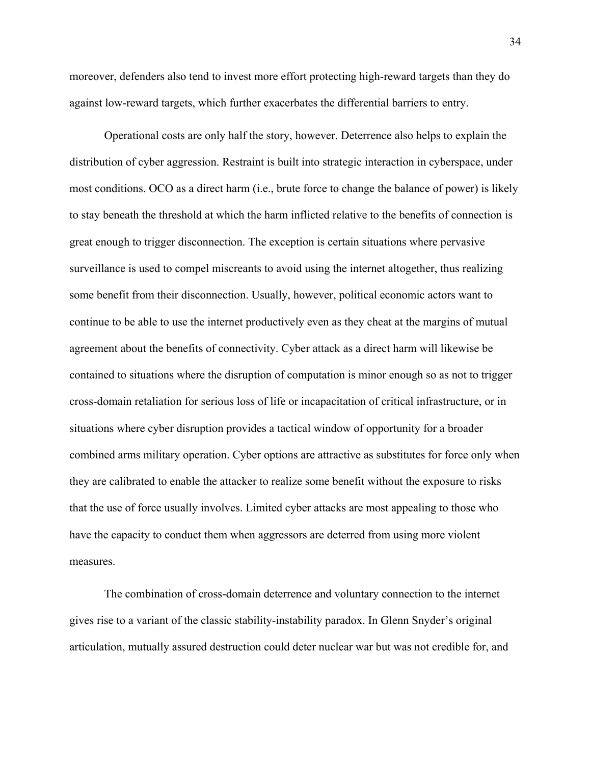moreover, defenders also tend to invest more effort protecting high-reward targets than they do against low-reward targets, which further exacerbates the differential barriers to entry.

Operational costs are only half the story, however. Deterrence also helps to explain the distribution of cyber aggression. Restraint is built into strategic interaction in cyberspace, under most conditions. OCO as a direct harm (i.e., brute force to change the balance of power) is likely to stay beneath the threshold at which the harm inflicted relative to the benefits of connection is great enough to trigger disconnection. The exception is certain situations where pervasive surveillance is used to compel miscreants to avoid using the internet altogether, thus realizing some benefit from their disconnection. Usually, however, political economic actors want to continue to be able to use the internet productively even as they cheat at the margins of mutual agreement about the benefits of connectivity. Cyber attack as a direct harm will likewise be contained to situations where the disruption of computation is minor enough so as not to trigger cross-domain retaliation for serious loss of life or incapacitation of critical infrastructure, or in situations where cyber disruption provides a tactical window of opportunity for a broader combined arms military operation. Cyber options are attractive as substitutes for force only when they are calibrated to enable the attacker to realize some benefit without the exposure to risks that the use of force usually involves. Limited cyber attacks are most appealing to those who have the capacity to conduct them when aggressors are deterred from using more violent measures.

The combination of cross-domain deterrence and voluntary connection to the internet gives rise to a variant of the classic stability-instability paradox. In Glenn Snyder's original articulation, mutually assured destruction could deter nuclear war but was not credible for, and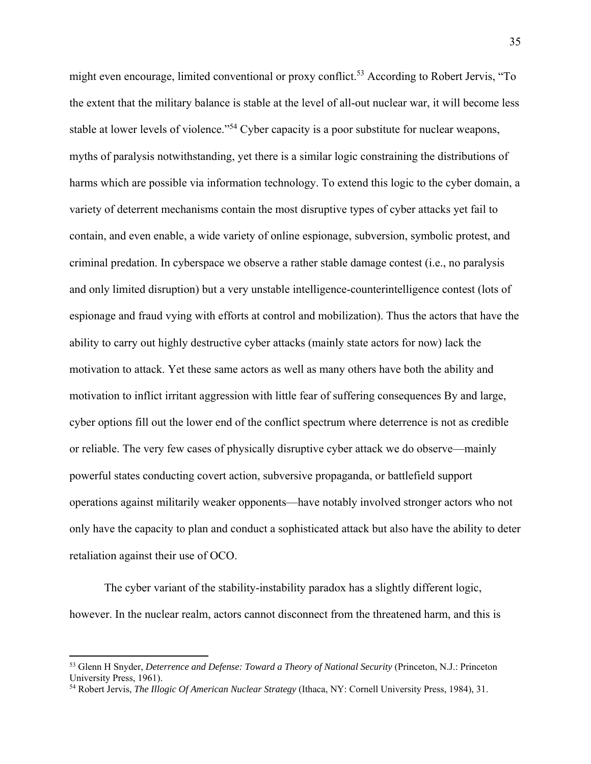might even encourage, limited conventional or proxy conflict.<sup>53</sup> According to Robert Jervis, "To the extent that the military balance is stable at the level of all-out nuclear war, it will become less stable at lower levels of violence."<sup>54</sup> Cyber capacity is a poor substitute for nuclear weapons, myths of paralysis notwithstanding, yet there is a similar logic constraining the distributions of harms which are possible via information technology. To extend this logic to the cyber domain, a variety of deterrent mechanisms contain the most disruptive types of cyber attacks yet fail to contain, and even enable, a wide variety of online espionage, subversion, symbolic protest, and criminal predation. In cyberspace we observe a rather stable damage contest (i.e., no paralysis and only limited disruption) but a very unstable intelligence-counterintelligence contest (lots of espionage and fraud vying with efforts at control and mobilization). Thus the actors that have the ability to carry out highly destructive cyber attacks (mainly state actors for now) lack the motivation to attack. Yet these same actors as well as many others have both the ability and motivation to inflict irritant aggression with little fear of suffering consequences By and large, cyber options fill out the lower end of the conflict spectrum where deterrence is not as credible or reliable. The very few cases of physically disruptive cyber attack we do observe—mainly powerful states conducting covert action, subversive propaganda, or battlefield support operations against militarily weaker opponents—have notably involved stronger actors who not only have the capacity to plan and conduct a sophisticated attack but also have the ability to deter retaliation against their use of OCO.

The cyber variant of the stability-instability paradox has a slightly different logic, however. In the nuclear realm, actors cannot disconnect from the threatened harm, and this is

<sup>53</sup> Glenn H Snyder, *Deterrence and Defense: Toward a Theory of National Security* (Princeton, N.J.: Princeton University Press, 1961).

<sup>54</sup> Robert Jervis, *The Illogic Of American Nuclear Strategy* (Ithaca, NY: Cornell University Press, 1984), 31.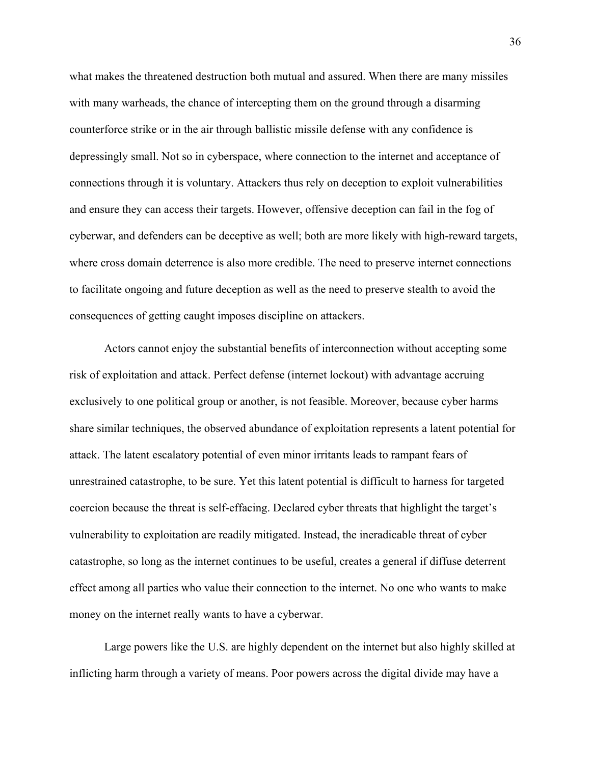what makes the threatened destruction both mutual and assured. When there are many missiles with many warheads, the chance of intercepting them on the ground through a disarming counterforce strike or in the air through ballistic missile defense with any confidence is depressingly small. Not so in cyberspace, where connection to the internet and acceptance of connections through it is voluntary. Attackers thus rely on deception to exploit vulnerabilities and ensure they can access their targets. However, offensive deception can fail in the fog of cyberwar, and defenders can be deceptive as well; both are more likely with high-reward targets, where cross domain deterrence is also more credible. The need to preserve internet connections to facilitate ongoing and future deception as well as the need to preserve stealth to avoid the consequences of getting caught imposes discipline on attackers.

Actors cannot enjoy the substantial benefits of interconnection without accepting some risk of exploitation and attack. Perfect defense (internet lockout) with advantage accruing exclusively to one political group or another, is not feasible. Moreover, because cyber harms share similar techniques, the observed abundance of exploitation represents a latent potential for attack. The latent escalatory potential of even minor irritants leads to rampant fears of unrestrained catastrophe, to be sure. Yet this latent potential is difficult to harness for targeted coercion because the threat is self-effacing. Declared cyber threats that highlight the target's vulnerability to exploitation are readily mitigated. Instead, the ineradicable threat of cyber catastrophe, so long as the internet continues to be useful, creates a general if diffuse deterrent effect among all parties who value their connection to the internet. No one who wants to make money on the internet really wants to have a cyberwar.

Large powers like the U.S. are highly dependent on the internet but also highly skilled at inflicting harm through a variety of means. Poor powers across the digital divide may have a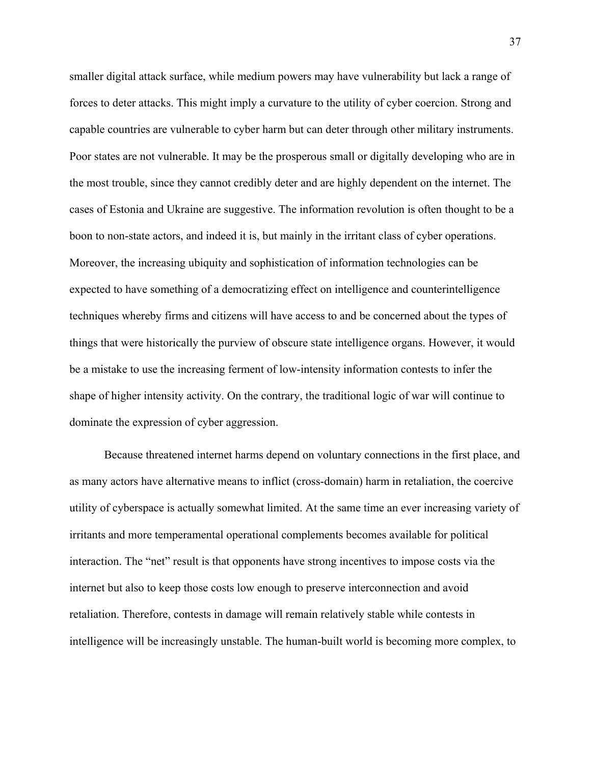smaller digital attack surface, while medium powers may have vulnerability but lack a range of forces to deter attacks. This might imply a curvature to the utility of cyber coercion. Strong and capable countries are vulnerable to cyber harm but can deter through other military instruments. Poor states are not vulnerable. It may be the prosperous small or digitally developing who are in the most trouble, since they cannot credibly deter and are highly dependent on the internet. The cases of Estonia and Ukraine are suggestive. The information revolution is often thought to be a boon to non-state actors, and indeed it is, but mainly in the irritant class of cyber operations. Moreover, the increasing ubiquity and sophistication of information technologies can be expected to have something of a democratizing effect on intelligence and counterintelligence techniques whereby firms and citizens will have access to and be concerned about the types of things that were historically the purview of obscure state intelligence organs. However, it would be a mistake to use the increasing ferment of low-intensity information contests to infer the shape of higher intensity activity. On the contrary, the traditional logic of war will continue to dominate the expression of cyber aggression.

Because threatened internet harms depend on voluntary connections in the first place, and as many actors have alternative means to inflict (cross-domain) harm in retaliation, the coercive utility of cyberspace is actually somewhat limited. At the same time an ever increasing variety of irritants and more temperamental operational complements becomes available for political interaction. The "net" result is that opponents have strong incentives to impose costs via the internet but also to keep those costs low enough to preserve interconnection and avoid retaliation. Therefore, contests in damage will remain relatively stable while contests in intelligence will be increasingly unstable. The human-built world is becoming more complex, to